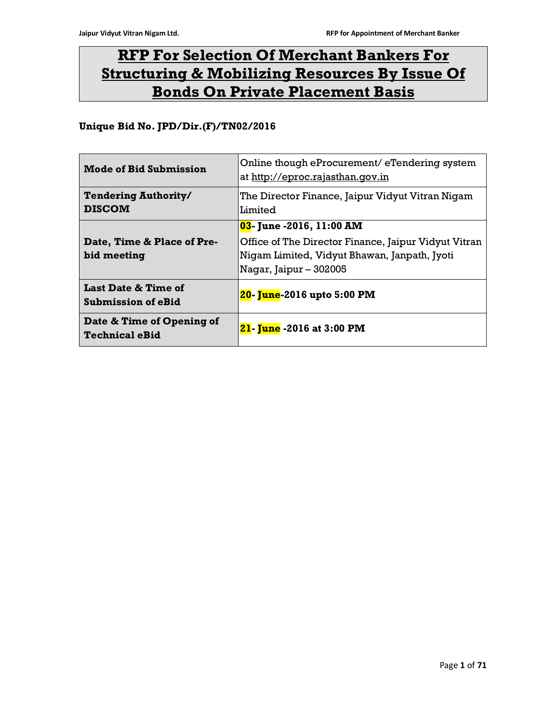# RFP For Selection Of Merchant Bankers For Structuring & Mobilizing Resources By Issue Of Bonds On Private Placement Basis

# Unique Bid No. JPD/Dir.(F)/TN02/2016

| <b>Mode of Bid Submission</b>                      | Online though eProcurement/eTendering system<br>at http://eproc.rajasthan.gov.in |  |
|----------------------------------------------------|----------------------------------------------------------------------------------|--|
| <b>Tendering Authority/</b><br><b>DISCOM</b>       | The Director Finance, Jaipur Vidyut Vitran Nigam<br><b>Limited</b>               |  |
|                                                    | 03- June -2016, 11:00 AM                                                         |  |
| Date, Time & Place of Pre-                         | Office of The Director Finance, Jaipur Vidyut Vitran                             |  |
| bid meeting                                        | Nigam Limited, Vidyut Bhawan, Janpath, Jyoti                                     |  |
|                                                    | Nagar, Jaipur – 302005                                                           |  |
| Last Date & Time of<br><b>Submission of eBid</b>   | 20- June-2016 upto 5:00 PM                                                       |  |
| Date & Time of Opening of<br><b>Technical eBid</b> | <b>21- June -2016 at 3:00 PM</b>                                                 |  |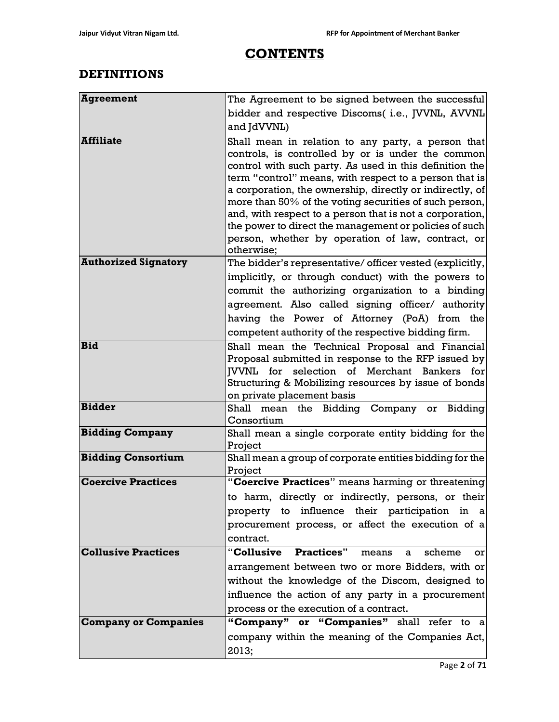# **CONTENTS**

# DEFINITIONS

| <b>Agreement</b>            | The Agreement to be signed between the successful                                                                                                                                                                                                                                                                                                                                                                                                                                                                                           |  |  |  |
|-----------------------------|---------------------------------------------------------------------------------------------------------------------------------------------------------------------------------------------------------------------------------------------------------------------------------------------------------------------------------------------------------------------------------------------------------------------------------------------------------------------------------------------------------------------------------------------|--|--|--|
|                             | bidder and respective Discoms( i.e., JVVNL, AVVNL                                                                                                                                                                                                                                                                                                                                                                                                                                                                                           |  |  |  |
|                             | and JdVVNL)                                                                                                                                                                                                                                                                                                                                                                                                                                                                                                                                 |  |  |  |
| <b>Affiliate</b>            | Shall mean in relation to any party, a person that<br>controls, is controlled by or is under the common<br>control with such party. As used in this definition the<br>term "control" means, with respect to a person that is<br>a corporation, the ownership, directly or indirectly, of<br>more than 50% of the voting securities of such person,<br>and, with respect to a person that is not a corporation,<br>the power to direct the management or policies of such<br>person, whether by operation of law, contract, or<br>otherwise; |  |  |  |
| <b>Authorized Signatory</b> | The bidder's representative/ officer vested (explicitly,                                                                                                                                                                                                                                                                                                                                                                                                                                                                                    |  |  |  |
|                             | implicitly, or through conduct) with the powers to                                                                                                                                                                                                                                                                                                                                                                                                                                                                                          |  |  |  |
|                             | commit the authorizing organization to a binding                                                                                                                                                                                                                                                                                                                                                                                                                                                                                            |  |  |  |
|                             | agreement. Also called signing officer/ authority                                                                                                                                                                                                                                                                                                                                                                                                                                                                                           |  |  |  |
|                             | having the Power of Attorney (PoA) from the                                                                                                                                                                                                                                                                                                                                                                                                                                                                                                 |  |  |  |
|                             | competent authority of the respective bidding firm.                                                                                                                                                                                                                                                                                                                                                                                                                                                                                         |  |  |  |
| <b>Bid</b>                  | Shall mean the Technical Proposal and Financial<br>Proposal submitted in response to the RFP issued by<br><b>JVVNL</b> for selection of Merchant Bankers for<br>Structuring & Mobilizing resources by issue of bonds<br>on private placement basis                                                                                                                                                                                                                                                                                          |  |  |  |
| <b>Bidder</b>               | Shall<br>mean the Bidding Company or Bidding<br>Consortium                                                                                                                                                                                                                                                                                                                                                                                                                                                                                  |  |  |  |
| <b>Bidding Company</b>      | Shall mean a single corporate entity bidding for the<br>Project                                                                                                                                                                                                                                                                                                                                                                                                                                                                             |  |  |  |
| <b>Bidding Consortium</b>   | Shall mean a group of corporate entities bidding for the<br>Project                                                                                                                                                                                                                                                                                                                                                                                                                                                                         |  |  |  |
| <b>Coercive Practices</b>   | "Coercive Practices" means harming or threatening                                                                                                                                                                                                                                                                                                                                                                                                                                                                                           |  |  |  |
|                             | to harm, directly or indirectly, persons, or their                                                                                                                                                                                                                                                                                                                                                                                                                                                                                          |  |  |  |
|                             | property to influence their participation in a                                                                                                                                                                                                                                                                                                                                                                                                                                                                                              |  |  |  |
|                             | procurement process, or affect the execution of a                                                                                                                                                                                                                                                                                                                                                                                                                                                                                           |  |  |  |
|                             | contract.                                                                                                                                                                                                                                                                                                                                                                                                                                                                                                                                   |  |  |  |
| <b>Collusive Practices</b>  | "Collusive Practices"<br>scheme<br>means<br>$\mathbf{a}$<br>or                                                                                                                                                                                                                                                                                                                                                                                                                                                                              |  |  |  |
|                             | arrangement between two or more Bidders, with or                                                                                                                                                                                                                                                                                                                                                                                                                                                                                            |  |  |  |
|                             | without the knowledge of the Discom, designed to                                                                                                                                                                                                                                                                                                                                                                                                                                                                                            |  |  |  |
|                             | influence the action of any party in a procurement                                                                                                                                                                                                                                                                                                                                                                                                                                                                                          |  |  |  |
| <b>Company or Companies</b> | process or the execution of a contract.                                                                                                                                                                                                                                                                                                                                                                                                                                                                                                     |  |  |  |
|                             | "Company" or "Companies" shall refer to a                                                                                                                                                                                                                                                                                                                                                                                                                                                                                                   |  |  |  |
|                             | company within the meaning of the Companies Act,<br>2013;                                                                                                                                                                                                                                                                                                                                                                                                                                                                                   |  |  |  |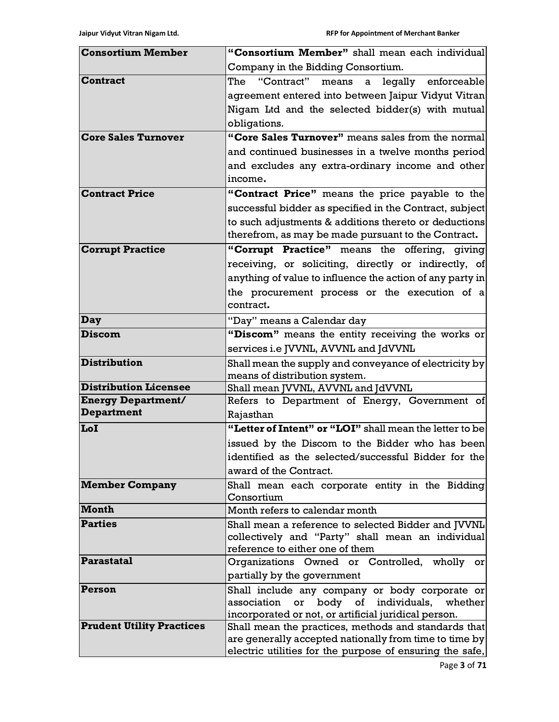| <b>Consortium Member</b>         | "Consortium Member" shall mean each individual                                                           |  |  |  |
|----------------------------------|----------------------------------------------------------------------------------------------------------|--|--|--|
|                                  | Company in the Bidding Consortium.                                                                       |  |  |  |
| <b>Contract</b>                  | The "Contract"<br>means<br>legally enforceable<br>$\mathbf{a}$                                           |  |  |  |
|                                  | agreement entered into between Jaipur Vidyut Vitran                                                      |  |  |  |
|                                  | Nigam Ltd and the selected bidder(s) with mutual                                                         |  |  |  |
|                                  | obligations.                                                                                             |  |  |  |
| <b>Core Sales Turnover</b>       | "Core Sales Turnover" means sales from the normal                                                        |  |  |  |
|                                  | and continued businesses in a twelve months period                                                       |  |  |  |
|                                  | and excludes any extra-ordinary income and other                                                         |  |  |  |
|                                  | income.                                                                                                  |  |  |  |
| <b>Contract Price</b>            | "Contract Price" means the price payable to the                                                          |  |  |  |
|                                  | successful bidder as specified in the Contract, subject                                                  |  |  |  |
|                                  | to such adjustments & additions thereto or deductions                                                    |  |  |  |
|                                  | therefrom, as may be made pursuant to the Contract.                                                      |  |  |  |
| <b>Corrupt Practice</b>          | "Corrupt Practice" means the offering, giving                                                            |  |  |  |
|                                  | receiving, or soliciting, directly or indirectly, of                                                     |  |  |  |
|                                  | anything of value to influence the action of any party in                                                |  |  |  |
|                                  | the procurement process or the execution of a                                                            |  |  |  |
|                                  | contract.                                                                                                |  |  |  |
| Day                              | "Day" means a Calendar day                                                                               |  |  |  |
| <b>Discom</b>                    | "Discom" means the entity receiving the works or                                                         |  |  |  |
|                                  | services i.e JVVNL, AVVNL and JdVVNL                                                                     |  |  |  |
| <b>Distribution</b>              | Shall mean the supply and conveyance of electricity by                                                   |  |  |  |
|                                  | means of distribution system.                                                                            |  |  |  |
| <b>Distribution Licensee</b>     | Shall mean JVVNL, AVVNL and JdVVNL                                                                       |  |  |  |
| <b>Energy Department/</b>        | Refers to Department of Energy, Government of                                                            |  |  |  |
| Department                       | Rajasthan                                                                                                |  |  |  |
| LoI                              | "Letter of Intent" or "LOI" shall mean the letter to be                                                  |  |  |  |
|                                  | issued by the Discom to the Bidder who has been                                                          |  |  |  |
|                                  | identified as the selected/successful Bidder for the                                                     |  |  |  |
|                                  | award of the Contract.                                                                                   |  |  |  |
| <b>Member Company</b>            | Shall mean each corporate entity in the Bidding                                                          |  |  |  |
| <b>Month</b>                     | Consortium<br>Month refers to calendar month                                                             |  |  |  |
| <b>Parties</b>                   |                                                                                                          |  |  |  |
|                                  | Shall mean a reference to selected Bidder and [VVNL<br>collectively and "Party" shall mean an individual |  |  |  |
|                                  | reference to either one of them                                                                          |  |  |  |
| Parastatal                       | Organizations Owned or Controlled, wholly or                                                             |  |  |  |
|                                  | partially by the government                                                                              |  |  |  |
| Person                           | Shall include any company or body corporate or                                                           |  |  |  |
|                                  | body of<br>individuals,<br>or<br>whether<br>association                                                  |  |  |  |
|                                  | incorporated or not, or artificial juridical person.                                                     |  |  |  |
| <b>Prudent Utility Practices</b> | Shall mean the practices, methods and standards that                                                     |  |  |  |
|                                  | are generally accepted nationally from time to time by                                                   |  |  |  |
|                                  | electric utilities for the purpose of ensuring the safe,                                                 |  |  |  |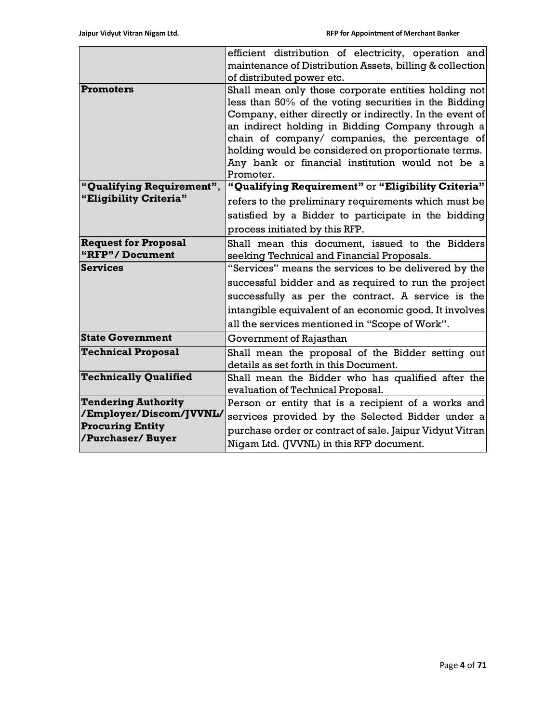|                              | efficient distribution of electricity, operation and                                                 |  |  |  |  |  |  |
|------------------------------|------------------------------------------------------------------------------------------------------|--|--|--|--|--|--|
|                              | maintenance of Distribution Assets, billing & collection                                             |  |  |  |  |  |  |
|                              | of distributed power etc.                                                                            |  |  |  |  |  |  |
| <b>Promoters</b>             | Shall mean only those corporate entities holding not                                                 |  |  |  |  |  |  |
|                              | less than 50% of the voting securities in the Bidding                                                |  |  |  |  |  |  |
|                              | Company, either directly or indirectly. In the event of                                              |  |  |  |  |  |  |
|                              | an indirect holding in Bidding Company through a                                                     |  |  |  |  |  |  |
|                              | chain of company/ companies, the percentage of                                                       |  |  |  |  |  |  |
|                              | holding would be considered on proportionate terms.                                                  |  |  |  |  |  |  |
|                              | Any bank or financial institution would not be a                                                     |  |  |  |  |  |  |
|                              | Promoter.                                                                                            |  |  |  |  |  |  |
| "Qualifying Requirement",    | "Qualifying Requirement" or "Eligibility Criteria"                                                   |  |  |  |  |  |  |
| "Eligibility Criteria"       | refers to the preliminary requirements which must be                                                 |  |  |  |  |  |  |
|                              | satisfied by a Bidder to participate in the bidding                                                  |  |  |  |  |  |  |
|                              | process initiated by this RFP.                                                                       |  |  |  |  |  |  |
| <b>Request for Proposal</b>  | Shall mean this document, issued to the Bidders                                                      |  |  |  |  |  |  |
| "RFP"/Document               | seeking Technical and Financial Proposals.                                                           |  |  |  |  |  |  |
| <b>Services</b>              | "Services" means the services to be delivered by the                                                 |  |  |  |  |  |  |
|                              | successful bidder and as required to run the project                                                 |  |  |  |  |  |  |
|                              | successfully as per the contract. A service is the                                                   |  |  |  |  |  |  |
|                              | intangible equivalent of an economic good. It involves                                               |  |  |  |  |  |  |
|                              | all the services mentioned in "Scope of Work".                                                       |  |  |  |  |  |  |
| <b>State Government</b>      | Government of Rajasthan                                                                              |  |  |  |  |  |  |
| <b>Technical Proposal</b>    | Shall mean the proposal of the Bidder setting out                                                    |  |  |  |  |  |  |
|                              | details as set forth in this Document.                                                               |  |  |  |  |  |  |
| <b>Technically Qualified</b> | Shall mean the Bidder who has qualified after the                                                    |  |  |  |  |  |  |
|                              | evaluation of Technical Proposal.                                                                    |  |  |  |  |  |  |
| <b>Tendering Authority</b>   | Person or entity that is a recipient of a works and                                                  |  |  |  |  |  |  |
| /Employer/Discom/JVVNL/      | services provided by the Selected Bidder under a                                                     |  |  |  |  |  |  |
| <b>Procuring Entity</b>      | purchase order or contract of sale. Jaipur Vidyut Vitran<br>Nigam Ltd. (JVVNL) in this RFP document. |  |  |  |  |  |  |
| /Purchaser/ Buyer            |                                                                                                      |  |  |  |  |  |  |
|                              |                                                                                                      |  |  |  |  |  |  |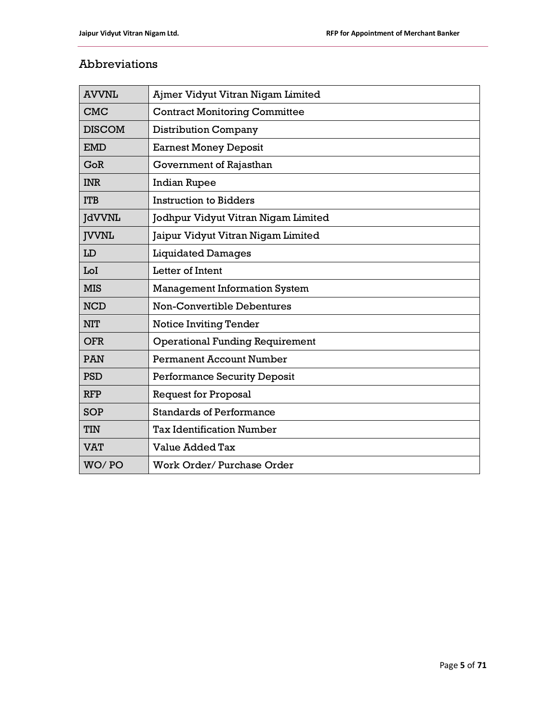# Abbreviations

| <b>AVVNL</b>  | Ajmer Vidyut Vitran Nigam Limited      |
|---------------|----------------------------------------|
| <b>CMC</b>    | <b>Contract Monitoring Committee</b>   |
| <b>DISCOM</b> | <b>Distribution Company</b>            |
| <b>EMD</b>    | <b>Earnest Money Deposit</b>           |
| GoR           | Government of Rajasthan                |
| <b>INR</b>    | <b>Indian Rupee</b>                    |
| <b>ITB</b>    | <b>Instruction to Bidders</b>          |
| <b>JdVVNL</b> | Jodhpur Vidyut Vitran Nigam Limited    |
| <b>JVVNL</b>  | Jaipur Vidyut Vitran Nigam Limited     |
| LD            | <b>Liquidated Damages</b>              |
| LoI           | Letter of Intent                       |
| <b>MIS</b>    | <b>Management Information System</b>   |
| <b>NCD</b>    | <b>Non-Convertible Debentures</b>      |
| <b>NIT</b>    | <b>Notice Inviting Tender</b>          |
| <b>OFR</b>    | <b>Operational Funding Requirement</b> |
| <b>PAN</b>    | <b>Permanent Account Number</b>        |
| <b>PSD</b>    | <b>Performance Security Deposit</b>    |
| <b>RFP</b>    | <b>Request for Proposal</b>            |
| <b>SOP</b>    | <b>Standards of Performance</b>        |
| <b>TIN</b>    | <b>Tax Identification Number</b>       |
| <b>VAT</b>    | Value Added Tax                        |
| WO/PO         | Work Order/Purchase Order              |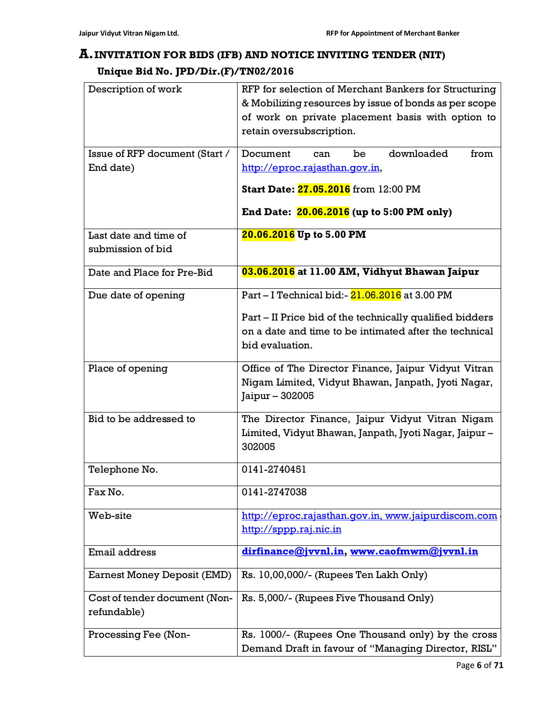# A.INVITATION FOR BIDS (IFB) AND NOTICE INVITING TENDER (NIT)

# Unique Bid No. JPD/Dir.(F)/TN02/2016

| Description of work                          | RFP for selection of Merchant Bankers for Structuring<br>& Mobilizing resources by issue of bonds as per scope<br>of work on private placement basis with option to<br>retain oversubscription. |
|----------------------------------------------|-------------------------------------------------------------------------------------------------------------------------------------------------------------------------------------------------|
| Issue of RFP document (Start /               | downloaded<br>from<br>Document<br>be<br>can                                                                                                                                                     |
| End date)                                    | http://eproc.rajasthan.qov.in,                                                                                                                                                                  |
|                                              | Start Date: 27.05.2016 from 12:00 PM                                                                                                                                                            |
|                                              | End Date: 20.06.2016 (up to 5:00 PM only)                                                                                                                                                       |
| Last date and time of                        | 20.06.2016 Up to 5.00 PM                                                                                                                                                                        |
| submission of bid                            |                                                                                                                                                                                                 |
| Date and Place for Pre-Bid                   | 03.06.2016 at 11.00 AM, Vidhyut Bhawan Jaipur                                                                                                                                                   |
| Due date of opening                          | Part - I Technical bid:- 21.06.2016 at 3.00 PM                                                                                                                                                  |
|                                              | Part – II Price bid of the technically qualified bidders<br>on a date and time to be intimated after the technical<br>bid evaluation.                                                           |
| Place of opening                             | Office of The Director Finance, Jaipur Vidyut Vitran<br>Nigam Limited, Vidyut Bhawan, Janpath, Jyoti Nagar,<br>Jaipur - 302005                                                                  |
| Bid to be addressed to                       | The Director Finance, Jaipur Vidyut Vitran Nigam<br>Limited, Vidyut Bhawan, Janpath, Jyoti Nagar, Jaipur-<br>302005                                                                             |
| Telephone No.                                | 0141-2740451                                                                                                                                                                                    |
| Fax No.                                      | 0141-2747038                                                                                                                                                                                    |
| Web-site                                     | http://eproc.rajasthan.gov.in, www.jaipurdiscom.com<br>http://sppp.raj.nic.in                                                                                                                   |
| Email address                                | dirfinance@jvvnl.in, www.caofmwm@jvvnl.in                                                                                                                                                       |
| <b>Earnest Money Deposit (EMD)</b>           | Rs. 10,00,000/- (Rupees Ten Lakh Only)                                                                                                                                                          |
| Cost of tender document (Non-<br>refundable) | Rs. 5,000/- (Rupees Five Thousand Only)                                                                                                                                                         |
| Processing Fee (Non-                         | Rs. 1000/- (Rupees One Thousand only) by the cross<br>Demand Draft in favour of "Managing Director, RISL"                                                                                       |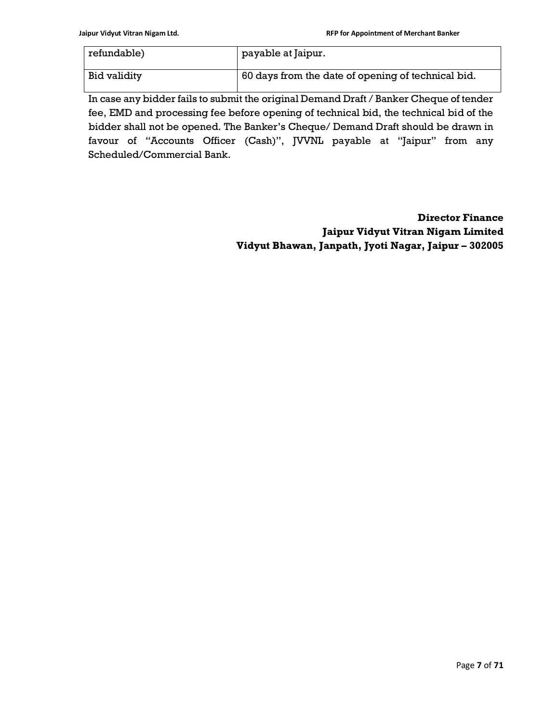| refundable)  | payable at Jaipur.                                 |
|--------------|----------------------------------------------------|
| Bid validity | 60 days from the date of opening of technical bid. |

In case any bidder fails to submit the original Demand Draft / Banker Cheque of tender fee, EMD and processing fee before opening of technical bid, the technical bid of the bidder shall not be opened. The Banker's Cheque/ Demand Draft should be drawn in favour of "Accounts Officer (Cash)", JVVNL payable at "Jaipur" from any Scheduled/Commercial Bank.

> Director Finance Jaipur Vidyut Vitran Nigam Limited Vidyut Bhawan, Janpath, Jyoti Nagar, Jaipur – 302005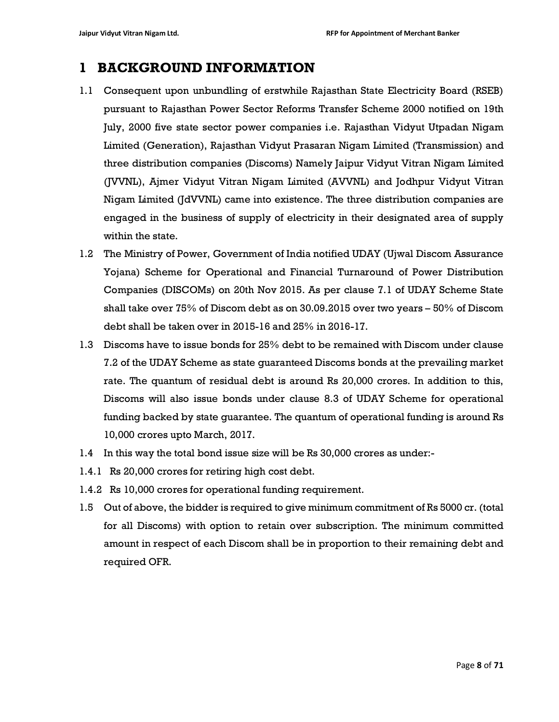# 1 BACKGROUND INFORMATION

- 1.1 Consequent upon unbundling of erstwhile Rajasthan State Electricity Board (RSEB) pursuant to Rajasthan Power Sector Reforms Transfer Scheme 2000 notified on 19th July, 2000 five state sector power companies i.e. Rajasthan Vidyut Utpadan Nigam Limited (Generation), Rajasthan Vidyut Prasaran Nigam Limited (Transmission) and three distribution companies (Discoms) Namely Jaipur Vidyut Vitran Nigam Limited (JVVNL), Ajmer Vidyut Vitran Nigam Limited (AVVNL) and Jodhpur Vidyut Vitran Nigam Limited (JdVVNL) came into existence. The three distribution companies are engaged in the business of supply of electricity in their designated area of supply within the state.
- 1.2 The Ministry of Power, Government of India notified UDAY (Ujwal Discom Assurance Yojana) Scheme for Operational and Financial Turnaround of Power Distribution Companies (DISCOMs) on 20th Nov 2015. As per clause 7.1 of UDAY Scheme State shall take over 75% of Discom debt as on 30.09.2015 over two years – 50% of Discom debt shall be taken over in 2015-16 and 25% in 2016-17.
- 1.3 Discoms have to issue bonds for 25% debt to be remained with Discom under clause 7.2 of the UDAY Scheme as state guaranteed Discoms bonds at the prevailing market rate. The quantum of residual debt is around Rs 20,000 crores. In addition to this, Discoms will also issue bonds under clause 8.3 of UDAY Scheme for operational funding backed by state guarantee. The quantum of operational funding is around Rs 10,000 crores upto March, 2017.
- 1.4 In this way the total bond issue size will be Rs 30,000 crores as under:-
- 1.4.1 Rs 20,000 crores for retiring high cost debt.
- 1.4.2 Rs 10,000 crores for operational funding requirement.
- 1.5 Out of above, the bidder is required to give minimum commitment of Rs 5000 cr. (total for all Discoms) with option to retain over subscription. The minimum committed amount in respect of each Discom shall be in proportion to their remaining debt and required OFR.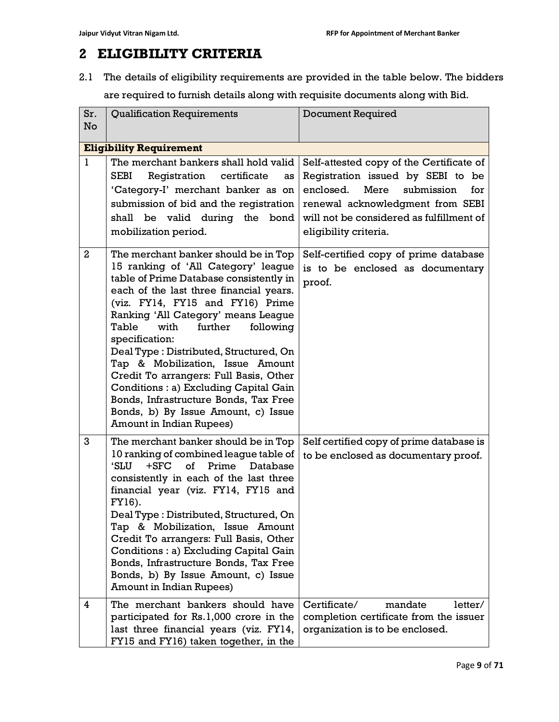# 2 ELIGIBILITY CRITERIA

2.1 The details of eligibility requirements are provided in the table below. The bidders are required to furnish details along with requisite documents along with Bid.

| Sr.<br>No      | <b>Qualification Requirements</b>                                                                                                                                                                                                                                                                                                                                                                                                                                                                                                                                                     | <b>Document Required</b>                                                                                                                                                                                                         |  |  |  |
|----------------|---------------------------------------------------------------------------------------------------------------------------------------------------------------------------------------------------------------------------------------------------------------------------------------------------------------------------------------------------------------------------------------------------------------------------------------------------------------------------------------------------------------------------------------------------------------------------------------|----------------------------------------------------------------------------------------------------------------------------------------------------------------------------------------------------------------------------------|--|--|--|
|                | <b>Eligibility Requirement</b>                                                                                                                                                                                                                                                                                                                                                                                                                                                                                                                                                        |                                                                                                                                                                                                                                  |  |  |  |
| 1              | The merchant bankers shall hold valid<br><b>SEBI</b><br>Registration certificate<br>as<br>'Category-I' merchant banker as on<br>submission of bid and the registration<br>shall be valid during the bond<br>mobilization period.                                                                                                                                                                                                                                                                                                                                                      | Self-attested copy of the Certificate of<br>Registration issued by SEBI to be<br>enclosed.<br>Mere<br>submission<br>for<br>renewal acknowledgment from SEBI<br>will not be considered as fulfillment of<br>eligibility criteria. |  |  |  |
| $\overline{2}$ | The merchant banker should be in Top<br>15 ranking of 'All Category' league<br>table of Prime Database consistently in<br>each of the last three financial years.<br>(viz. FY14, FY15 and FY16) Prime<br>Ranking 'All Category' means League<br>Table<br>with<br>further<br>following<br>specification:<br>Deal Type: Distributed, Structured, On<br>Tap & Mobilization, Issue Amount<br>Credit To arrangers: Full Basis, Other<br>Conditions : a) Excluding Capital Gain<br>Bonds, Infrastructure Bonds, Tax Free<br>Bonds, b) By Issue Amount, c) Issue<br>Amount in Indian Rupees) | Self-certified copy of prime database<br>is to be enclosed as documentary<br>proof.                                                                                                                                              |  |  |  |
| 3              | The merchant banker should be in Top<br>10 ranking of combined league table of<br>$+$ SFC<br>of<br>Prime<br>'SLU<br>Database<br>consistently in each of the last three<br>financial year (viz. FY14, FY15 and<br>FY16).<br>Deal Type: Distributed, Structured, On<br>Tap & Mobilization, Issue Amount<br>Credit To arrangers: Full Basis, Other<br>Conditions : a) Excluding Capital Gain<br>Bonds, Infrastructure Bonds, Tax Free<br>Bonds, b) By Issue Amount, c) Issue<br>Amount in Indian Rupees)                                                                                 | Self certified copy of prime database is<br>to be enclosed as documentary proof.                                                                                                                                                 |  |  |  |
| 4              | The merchant bankers should have<br>participated for Rs.1,000 crore in the<br>last three financial years (viz. FY14,<br>FY15 and FY16) taken together, in the                                                                                                                                                                                                                                                                                                                                                                                                                         | Certificate/<br>mandate<br>letter/<br>completion certificate from the issuer<br>organization is to be enclosed.                                                                                                                  |  |  |  |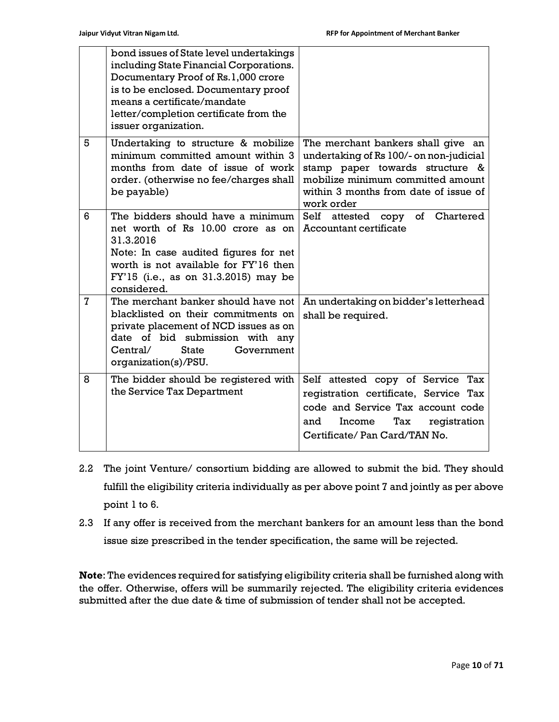|   | bond issues of State level undertakings<br>including State Financial Corporations.<br>Documentary Proof of Rs.1,000 crore<br>is to be enclosed. Documentary proof<br>means a certificate/mandate<br>letter/completion certificate from the<br>issuer organization. |                                                                                                                                                                                                              |
|---|--------------------------------------------------------------------------------------------------------------------------------------------------------------------------------------------------------------------------------------------------------------------|--------------------------------------------------------------------------------------------------------------------------------------------------------------------------------------------------------------|
| 5 | Undertaking to structure & mobilize<br>minimum committed amount within 3<br>months from date of issue of work<br>order. (otherwise no fee/charges shall<br>be payable)                                                                                             | The merchant bankers shall give an<br>undertaking of Rs 100/- on non-judicial<br>stamp paper towards structure &<br>mobilize minimum committed amount<br>within 3 months from date of issue of<br>work order |
| 6 | The bidders should have a minimum<br>net worth of Rs 10.00 crore as on<br>31.3.2016<br>Note: In case audited figures for net<br>worth is not available for FY'16 then<br>FY'15 (i.e., as on 31.3.2015) may be<br>considered.                                       | Self attested copy<br>of Chartered<br><b>Accountant certificate</b>                                                                                                                                          |
| 7 | The merchant banker should have not<br>blacklisted on their commitments on<br>private placement of NCD issues as on<br>date of bid submission with any<br>State<br>$C$ entral/<br>Government<br>organization(s)/PSU.                                               | An undertaking on bidder's letterhead<br>shall be required.                                                                                                                                                  |
| 8 | The bidder should be registered with<br>the Service Tax Department                                                                                                                                                                                                 | Self attested copy of Service Tax<br>registration certificate, Service Tax<br>code and Service Tax account code<br>and<br>Income<br>Tax<br>registration<br>Certificate/ Pan Card/TAN No.                     |

- 2.2 The joint Venture/ consortium bidding are allowed to submit the bid. They should fulfill the eligibility criteria individually as per above point 7 and jointly as per above point 1 to 6.
- 2.3 If any offer is received from the merchant bankers for an amount less than the bond issue size prescribed in the tender specification, the same will be rejected.

Note: The evidences required for satisfying eligibility criteria shall be furnished along with the offer. Otherwise, offers will be summarily rejected. The eligibility criteria evidences submitted after the due date & time of submission of tender shall not be accepted.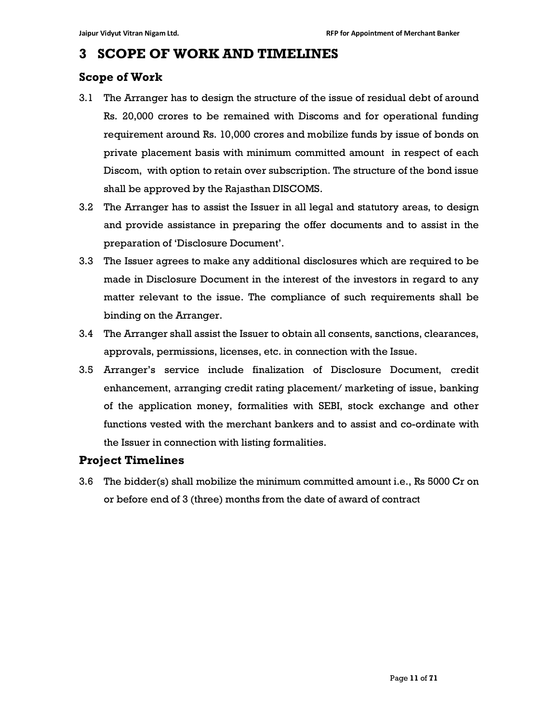# 3 SCOPE OF WORK AND TIMELINES

# Scope of Work

- 3.1 The Arranger has to design the structure of the issue of residual debt of around Rs. 20,000 crores to be remained with Discoms and for operational funding requirement around Rs. 10,000 crores and mobilize funds by issue of bonds on private placement basis with minimum committed amount in respect of each Discom, with option to retain over subscription. The structure of the bond issue shall be approved by the Rajasthan DISCOMS.
- 3.2 The Arranger has to assist the Issuer in all legal and statutory areas, to design and provide assistance in preparing the offer documents and to assist in the preparation of 'Disclosure Document'.
- 3.3 The Issuer agrees to make any additional disclosures which are required to be made in Disclosure Document in the interest of the investors in regard to any matter relevant to the issue. The compliance of such requirements shall be binding on the Arranger.
- 3.4 The Arranger shall assist the Issuer to obtain all consents, sanctions, clearances, approvals, permissions, licenses, etc. in connection with the Issue.
- 3.5 Arranger's service include finalization of Disclosure Document, credit enhancement, arranging credit rating placement/ marketing of issue, banking of the application money, formalities with SEBI, stock exchange and other functions vested with the merchant bankers and to assist and co-ordinate with the Issuer in connection with listing formalities.

# Project Timelines

3.6 The bidder(s) shall mobilize the minimum committed amount i.e., Rs 5000 Cr on or before end of 3 (three) months from the date of award of contract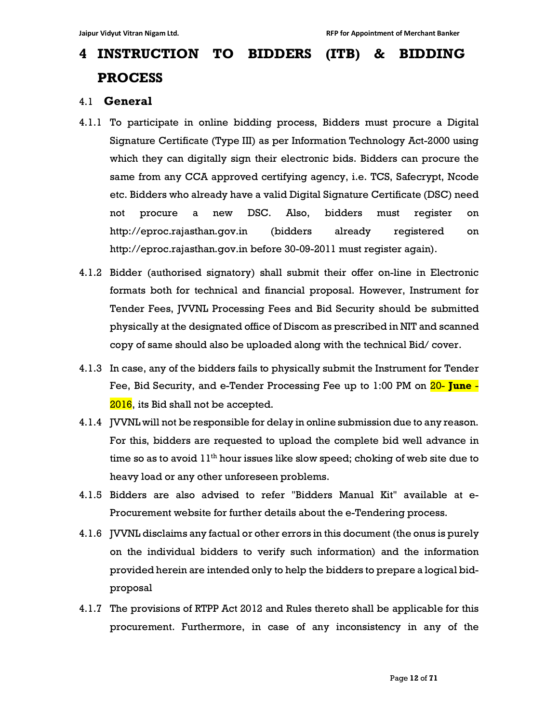# 4 INSTRUCTION TO BIDDERS (ITB) & BIDDING PROCESS

#### 4.1 General

- 4.1.1 To participate in online bidding process, Bidders must procure a Digital Signature Certificate (Type III) as per Information Technology Act-2000 using which they can digitally sign their electronic bids. Bidders can procure the same from any CCA approved certifying agency, i.e. TCS, Safecrypt, Ncode etc. Bidders who already have a valid Digital Signature Certificate (DSC) need not procure a new DSC. Also, bidders must register on http://eproc.rajasthan.gov.in (bidders already registered on http://eproc.rajasthan.gov.in before 30-09-2011 must register again).
- 4.1.2 Bidder (authorised signatory) shall submit their offer on-line in Electronic formats both for technical and financial proposal. However, Instrument for Tender Fees, JVVNL Processing Fees and Bid Security should be submitted physically at the designated office of Discom as prescribed in NIT and scanned copy of same should also be uploaded along with the technical Bid/ cover.
- 4.1.3 In case, any of the bidders fails to physically submit the Instrument for Tender Fee, Bid Security, and e-Tender Processing Fee up to 1:00 PM on 20- June -2016, its Bid shall not be accepted.
- 4.1.4 JVVNL will not be responsible for delay in online submission due to any reason. For this, bidders are requested to upload the complete bid well advance in time so as to avoid  $11<sup>th</sup>$  hour issues like slow speed; choking of web site due to heavy load or any other unforeseen problems.
- 4.1.5 Bidders are also advised to refer "Bidders Manual Kit" available at e-Procurement website for further details about the e-Tendering process.
- 4.1.6 JVVNL disclaims any factual or other errors in this document (the onus is purely on the individual bidders to verify such information) and the information provided herein are intended only to help the bidders to prepare a logical bidproposal
- 4.1.7 The provisions of RTPP Act 2012 and Rules thereto shall be applicable for this procurement. Furthermore, in case of any inconsistency in any of the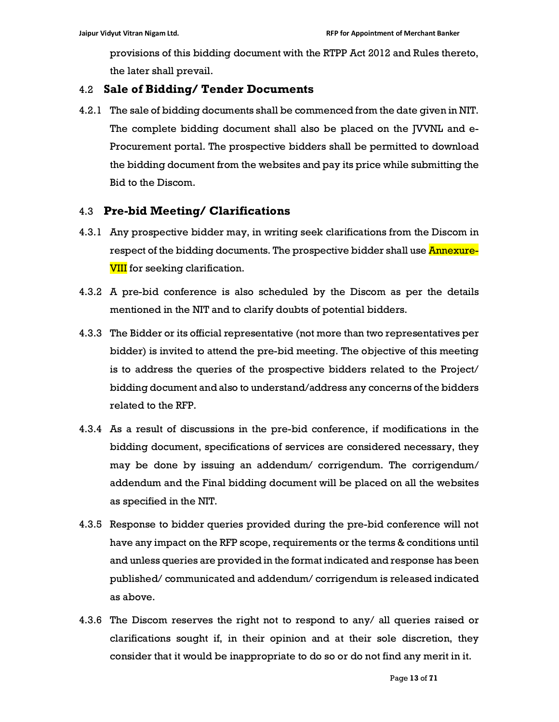provisions of this bidding document with the RTPP Act 2012 and Rules thereto, the later shall prevail.

## 4.2 Sale of Bidding/ Tender Documents

4.2.1 The sale of bidding documents shall be commenced from the date given in NIT. The complete bidding document shall also be placed on the JVVNL and e-Procurement portal. The prospective bidders shall be permitted to download the bidding document from the websites and pay its price while submitting the Bid to the Discom.

## 4.3 Pre-bid Meeting/ Clarifications

- 4.3.1 Any prospective bidder may, in writing seek clarifications from the Discom in respect of the bidding documents. The prospective bidder shall use **Annexure-VIII** for seeking clarification.
- 4.3.2 A pre-bid conference is also scheduled by the Discom as per the details mentioned in the NIT and to clarify doubts of potential bidders.
- 4.3.3 The Bidder or its official representative (not more than two representatives per bidder) is invited to attend the pre-bid meeting. The objective of this meeting is to address the queries of the prospective bidders related to the Project/ bidding document and also to understand/address any concerns of the bidders related to the RFP.
- 4.3.4 As a result of discussions in the pre-bid conference, if modifications in the bidding document, specifications of services are considered necessary, they may be done by issuing an addendum/ corrigendum. The corrigendum/ addendum and the Final bidding document will be placed on all the websites as specified in the NIT.
- 4.3.5 Response to bidder queries provided during the pre-bid conference will not have any impact on the RFP scope, requirements or the terms & conditions until and unless queries are provided in the format indicated and response has been published/ communicated and addendum/ corrigendum is released indicated as above.
- 4.3.6 The Discom reserves the right not to respond to any/ all queries raised or clarifications sought if, in their opinion and at their sole discretion, they consider that it would be inappropriate to do so or do not find any merit in it.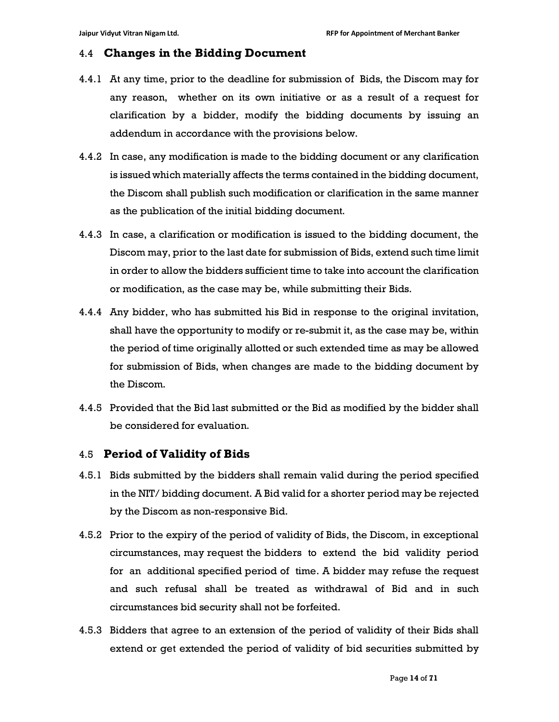#### 4.4 Changes in the Bidding Document

- 4.4.1 At any time, prior to the deadline for submission of Bids, the Discom may for any reason, whether on its own initiative or as a result of a request for clarification by a bidder, modify the bidding documents by issuing an addendum in accordance with the provisions below.
- 4.4.2 In case, any modification is made to the bidding document or any clarification is issued which materially affects the terms contained in the bidding document, the Discom shall publish such modification or clarification in the same manner as the publication of the initial bidding document.
- 4.4.3 In case, a clarification or modification is issued to the bidding document, the Discom may, prior to the last date for submission of Bids, extend such time limit in order to allow the bidders sufficient time to take into account the clarification or modification, as the case may be, while submitting their Bids.
- 4.4.4 Any bidder, who has submitted his Bid in response to the original invitation, shall have the opportunity to modify or re-submit it, as the case may be, within the period of time originally allotted or such extended time as may be allowed for submission of Bids, when changes are made to the bidding document by the Discom.
- 4.4.5 Provided that the Bid last submitted or the Bid as modified by the bidder shall be considered for evaluation.

#### 4.5 Period of Validity of Bids

- 4.5.1 Bids submitted by the bidders shall remain valid during the period specified in the NIT/ bidding document. A Bid valid for a shorter period may be rejected by the Discom as non-responsive Bid.
- 4.5.2 Prior to the expiry of the period of validity of Bids, the Discom, in exceptional circumstances, may request the bidders to extend the bid validity period for an additional specified period of time. A bidder may refuse the request and such refusal shall be treated as withdrawal of Bid and in such circumstances bid security shall not be forfeited.
- 4.5.3 Bidders that agree to an extension of the period of validity of their Bids shall extend or get extended the period of validity of bid securities submitted by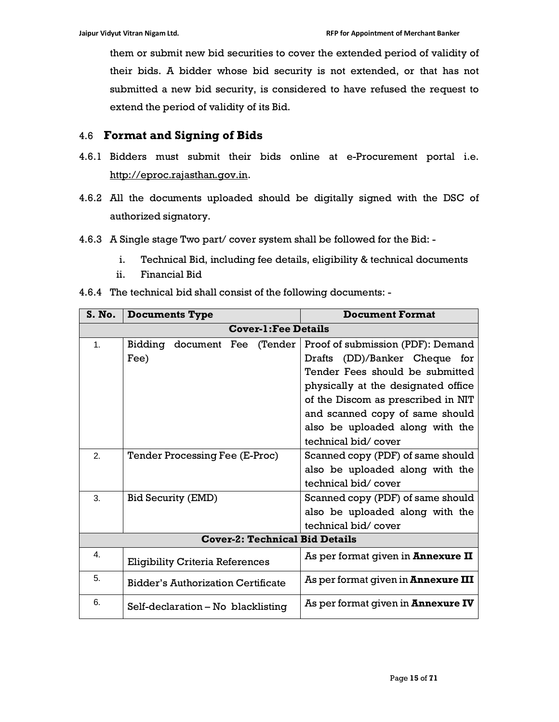them or submit new bid securities to cover the extended period of validity of their bids. A bidder whose bid security is not extended, or that has not submitted a new bid security, is considered to have refused the request to extend the period of validity of its Bid.

# 4.6 Format and Signing of Bids

- 4.6.1 Bidders must submit their bids online at e-Procurement portal i.e. http://eproc.rajasthan.gov.in.
- 4.6.2 All the documents uploaded should be digitally signed with the DSC of authorized signatory.
- 4.6.3 A Single stage Two part/ cover system shall be followed for the Bid:
	- i. Technical Bid, including fee details, eligibility & technical documents
	- ii. Financial Bid

| 4.6.4 The technical bid shall consist of the following documents: - |  |  |  |
|---------------------------------------------------------------------|--|--|--|
|                                                                     |  |  |  |

| S. No.                                | <b>Documents Type</b>                     | <b>Document Format</b>                     |  |  |
|---------------------------------------|-------------------------------------------|--------------------------------------------|--|--|
| <b>Cover-1: Fee Details</b>           |                                           |                                            |  |  |
| $\mathbf{1}$ .                        | Bidding document Fee (Tender              | Proof of submission (PDF): Demand          |  |  |
|                                       | Fee)                                      | Drafts (DD)/Banker Cheque for              |  |  |
|                                       |                                           | Tender Fees should be submitted            |  |  |
|                                       |                                           | physically at the designated office        |  |  |
|                                       |                                           | of the Discom as prescribed in NIT         |  |  |
|                                       |                                           | and scanned copy of same should            |  |  |
|                                       |                                           | also be uploaded along with the            |  |  |
|                                       |                                           | technical bid/cover                        |  |  |
| 2.                                    | Tender Processing Fee (E-Proc)            | Scanned copy (PDF) of same should          |  |  |
|                                       |                                           | also be uploaded along with the            |  |  |
|                                       |                                           | technical bid/cover                        |  |  |
| 3.                                    | <b>Bid Security (EMD)</b>                 | Scanned copy (PDF) of same should          |  |  |
|                                       |                                           | also be uploaded along with the            |  |  |
|                                       |                                           | technical bid/cover                        |  |  |
| <b>Cover-2: Technical Bid Details</b> |                                           |                                            |  |  |
| 4.                                    | <b>Eligibility Criteria References</b>    | As per format given in <b>Annexure II</b>  |  |  |
| 5.                                    | <b>Bidder's Authorization Certificate</b> | As per format given in <b>Annexure III</b> |  |  |
| 6.                                    | Self-declaration – No blacklisting        | As per format given in <b>Annexure IV</b>  |  |  |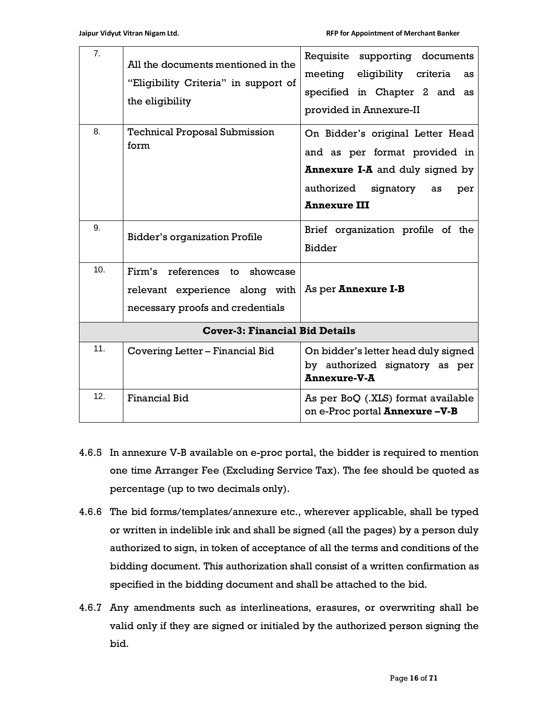| 7.                                    | All the documents mentioned in the<br>"Eligibility Criteria" in support of<br>the eligibility       | Requisite supporting documents<br>meeting eligibility criteria<br>as<br>specified in Chapter 2 and as<br>provided in Annexure-II                                           |
|---------------------------------------|-----------------------------------------------------------------------------------------------------|----------------------------------------------------------------------------------------------------------------------------------------------------------------------------|
| 8.                                    | <b>Technical Proposal Submission</b><br>form                                                        | On Bidder's original Letter Head<br>and as per format provided in<br><b>Annexure I-A</b> and duly signed by<br>signatory<br>authorized<br>as<br>per<br><b>Annexure III</b> |
| 9.                                    | <b>Bidder's organization Profile</b>                                                                | Brief organization profile of the<br><b>Bidder</b>                                                                                                                         |
| 10.                                   | Firm's references to showcase<br>relevant experience along with<br>necessary proofs and credentials | As per <b>Annexure I-B</b>                                                                                                                                                 |
| <b>Cover-3: Financial Bid Details</b> |                                                                                                     |                                                                                                                                                                            |
| 11.                                   | Covering Letter – Financial Bid                                                                     | On bidder's letter head duly signed<br>by authorized signatory as per<br><b>Annexure-V-A</b>                                                                               |
| 12.                                   | <b>Financial Bid</b>                                                                                | As per BoQ (.XLS) format available<br>on e-Proc portal Annexure-V-B                                                                                                        |

- 4.6.5 In annexure V-B available on e-proc portal, the bidder is required to mention one time Arranger Fee (Excluding Service Tax). The fee should be quoted as percentage (up to two decimals only).
- 4.6.6 The bid forms/templates/annexure etc., wherever applicable, shall be typed or written in indelible ink and shall be signed (all the pages) by a person duly authorized to sign, in token of acceptance of all the terms and conditions of the bidding document. This authorization shall consist of a written confirmation as specified in the bidding document and shall be attached to the bid.
- 4.6.7 Any amendments such as interlineations, erasures, or overwriting shall be valid only if they are signed or initialed by the authorized person signing the bid.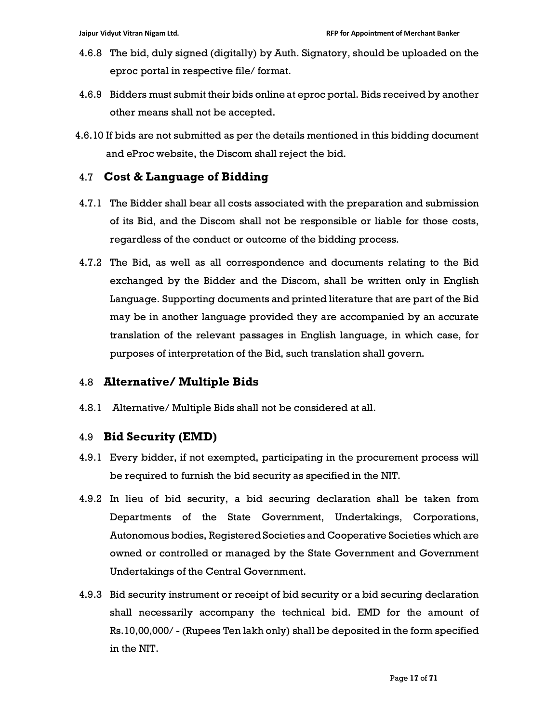- 4.6.8 The bid, duly signed (digitally) by Auth. Signatory, should be uploaded on the eproc portal in respective file/ format.
- 4.6.9 Bidders must submit their bids online at eproc portal. Bids received by another other means shall not be accepted.
- 4.6.10 If bids are not submitted as per the details mentioned in this bidding document and eProc website, the Discom shall reject the bid.

## 4.7 Cost & Language of Bidding

- 4.7.1 The Bidder shall bear all costs associated with the preparation and submission of its Bid, and the Discom shall not be responsible or liable for those costs, regardless of the conduct or outcome of the bidding process.
- 4.7.2 The Bid, as well as all correspondence and documents relating to the Bid exchanged by the Bidder and the Discom, shall be written only in English Language. Supporting documents and printed literature that are part of the Bid may be in another language provided they are accompanied by an accurate translation of the relevant passages in English language, in which case, for purposes of interpretation of the Bid, such translation shall govern.

# 4.8 Alternative/ Multiple Bids

4.8.1 Alternative/ Multiple Bids shall not be considered at all.

#### 4.9 Bid Security (EMD)

- 4.9.1 Every bidder, if not exempted, participating in the procurement process will be required to furnish the bid security as specified in the NIT.
- 4.9.2 In lieu of bid security, a bid securing declaration shall be taken from Departments of the State Government, Undertakings, Corporations, Autonomous bodies, Registered Societies and Cooperative Societies which are owned or controlled or managed by the State Government and Government Undertakings of the Central Government.
- 4.9.3 Bid security instrument or receipt of bid security or a bid securing declaration shall necessarily accompany the technical bid. EMD for the amount of Rs.10,00,000/ - (Rupees Ten lakh only) shall be deposited in the form specified in the NIT.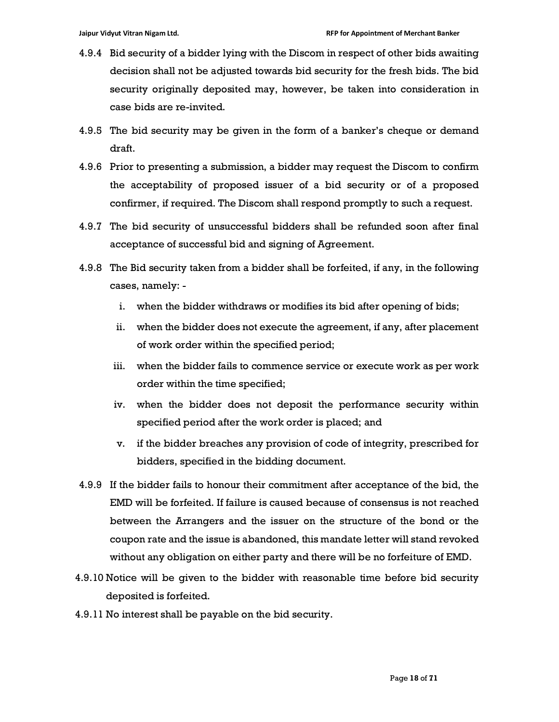- 4.9.4 Bid security of a bidder lying with the Discom in respect of other bids awaiting decision shall not be adjusted towards bid security for the fresh bids. The bid security originally deposited may, however, be taken into consideration in case bids are re-invited.
- 4.9.5 The bid security may be given in the form of a banker's cheque or demand draft.
- 4.9.6 Prior to presenting a submission, a bidder may request the Discom to confirm the acceptability of proposed issuer of a bid security or of a proposed confirmer, if required. The Discom shall respond promptly to such a request.
- 4.9.7 The bid security of unsuccessful bidders shall be refunded soon after final acceptance of successful bid and signing of Agreement.
- 4.9.8 The Bid security taken from a bidder shall be forfeited, if any, in the following cases, namely:
	- i. when the bidder withdraws or modifies its bid after opening of bids;
	- ii. when the bidder does not execute the agreement, if any, after placement of work order within the specified period;
	- iii. when the bidder fails to commence service or execute work as per work order within the time specified;
	- iv. when the bidder does not deposit the performance security within specified period after the work order is placed; and
	- v. if the bidder breaches any provision of code of integrity, prescribed for bidders, specified in the bidding document.
- 4.9.9 If the bidder fails to honour their commitment after acceptance of the bid, the EMD will be forfeited. If failure is caused because of consensus is not reached between the Arrangers and the issuer on the structure of the bond or the coupon rate and the issue is abandoned, this mandate letter will stand revoked without any obligation on either party and there will be no forfeiture of EMD.
- 4.9.10 Notice will be given to the bidder with reasonable time before bid security deposited is forfeited.
- 4.9.11 No interest shall be payable on the bid security.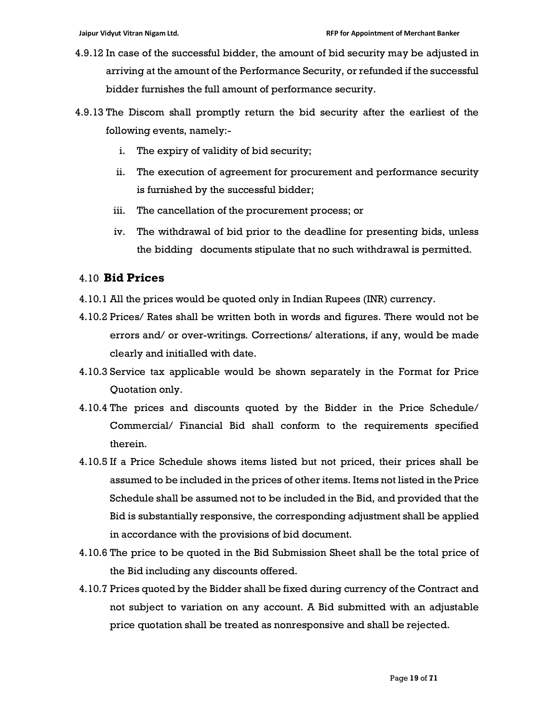- 4.9.12 In case of the successful bidder, the amount of bid security may be adjusted in arriving at the amount of the Performance Security, or refunded if the successful bidder furnishes the full amount of performance security.
- 4.9.13 The Discom shall promptly return the bid security after the earliest of the following events, namely:
	- i. The expiry of validity of bid security;
	- ii. The execution of agreement for procurement and performance security is furnished by the successful bidder;
	- iii. The cancellation of the procurement process; or
	- iv. The withdrawal of bid prior to the deadline for presenting bids, unless the bidding documents stipulate that no such withdrawal is permitted.

#### 4.10 Bid Prices

- 4.10.1 All the prices would be quoted only in Indian Rupees (INR) currency.
- 4.10.2 Prices/ Rates shall be written both in words and figures. There would not be errors and/ or over-writings. Corrections/ alterations, if any, would be made clearly and initialled with date.
- 4.10.3 Service tax applicable would be shown separately in the Format for Price Quotation only.
- 4.10.4 The prices and discounts quoted by the Bidder in the Price Schedule/ Commercial/ Financial Bid shall conform to the requirements specified therein.
- 4.10.5 If a Price Schedule shows items listed but not priced, their prices shall be assumed to be included in the prices of other items. Items not listed in the Price Schedule shall be assumed not to be included in the Bid, and provided that the Bid is substantially responsive, the corresponding adjustment shall be applied in accordance with the provisions of bid document.
- 4.10.6 The price to be quoted in the Bid Submission Sheet shall be the total price of the Bid including any discounts offered.
- 4.10.7 Prices quoted by the Bidder shall be fixed during currency of the Contract and not subject to variation on any account. A Bid submitted with an adjustable price quotation shall be treated as nonresponsive and shall be rejected.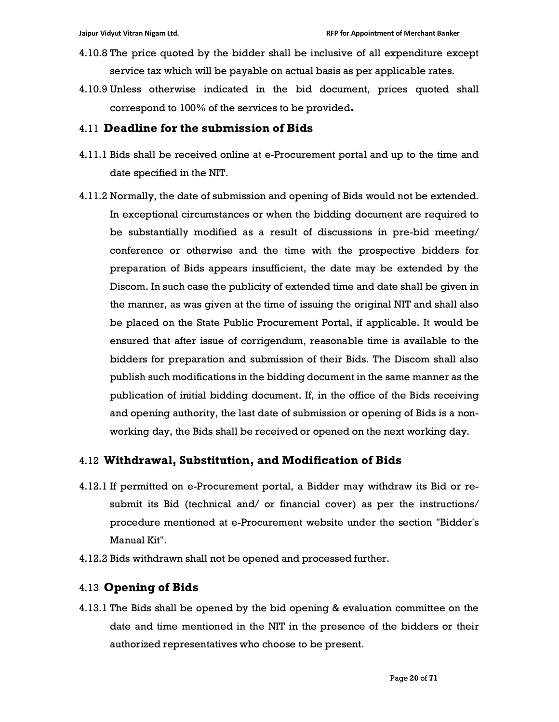- 4.10.8 The price quoted by the bidder shall be inclusive of all expenditure except service tax which will be payable on actual basis as per applicable rates.
- 4.10.9 Unless otherwise indicated in the bid document, prices quoted shall correspond to 100% of the services to be provided.

#### 4.11 Deadline for the submission of Bids

- 4.11.1 Bids shall be received online at e-Procurement portal and up to the time and date specified in the NIT.
- 4.11.2 Normally, the date of submission and opening of Bids would not be extended. In exceptional circumstances or when the bidding document are required to be substantially modified as a result of discussions in pre-bid meeting/ conference or otherwise and the time with the prospective bidders for preparation of Bids appears insufficient, the date may be extended by the Discom. In such case the publicity of extended time and date shall be given in the manner, as was given at the time of issuing the original NIT and shall also be placed on the State Public Procurement Portal, if applicable. It would be ensured that after issue of corrigendum, reasonable time is available to the bidders for preparation and submission of their Bids. The Discom shall also publish such modifications in the bidding document in the same manner as the publication of initial bidding document. If, in the office of the Bids receiving and opening authority, the last date of submission or opening of Bids is a nonworking day, the Bids shall be received or opened on the next working day.

# 4.12 Withdrawal, Substitution, and Modification of Bids

- 4.12.1 If permitted on e-Procurement portal, a Bidder may withdraw its Bid or resubmit its Bid (technical and/ or financial cover) as per the instructions/ procedure mentioned at e-Procurement website under the section "Bidder's Manual Kit".
- 4.12.2 Bids withdrawn shall not be opened and processed further.

# 4.13 Opening of Bids

4.13.1 The Bids shall be opened by the bid opening & evaluation committee on the date and time mentioned in the NIT in the presence of the bidders or their authorized representatives who choose to be present.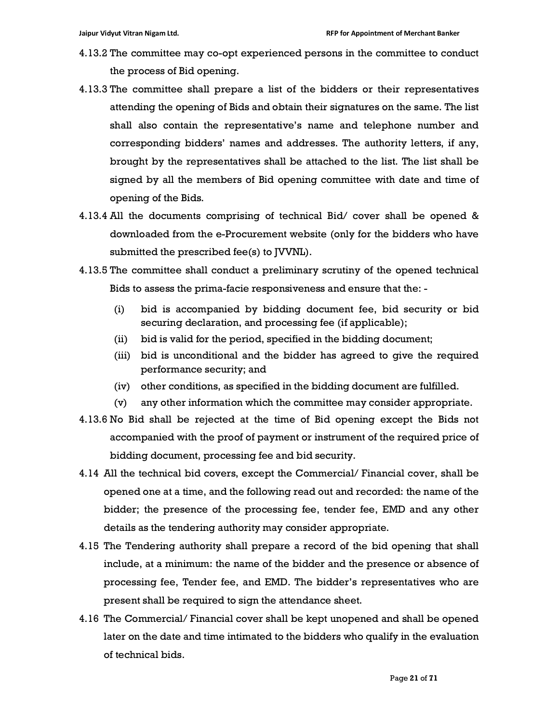- 4.13.2 The committee may co-opt experienced persons in the committee to conduct the process of Bid opening.
- 4.13.3 The committee shall prepare a list of the bidders or their representatives attending the opening of Bids and obtain their signatures on the same. The list shall also contain the representative's name and telephone number and corresponding bidders' names and addresses. The authority letters, if any, brought by the representatives shall be attached to the list. The list shall be signed by all the members of Bid opening committee with date and time of opening of the Bids.
- 4.13.4 All the documents comprising of technical Bid/ cover shall be opened & downloaded from the e-Procurement website (only for the bidders who have submitted the prescribed fee(s) to JVVNL).
- 4.13.5 The committee shall conduct a preliminary scrutiny of the opened technical Bids to assess the prima-facie responsiveness and ensure that the: -
	- (i) bid is accompanied by bidding document fee, bid security or bid securing declaration, and processing fee (if applicable);
	- (ii) bid is valid for the period, specified in the bidding document;
	- (iii) bid is unconditional and the bidder has agreed to give the required performance security; and
	- (iv) other conditions, as specified in the bidding document are fulfilled.
	- (v) any other information which the committee may consider appropriate.
- 4.13.6 No Bid shall be rejected at the time of Bid opening except the Bids not accompanied with the proof of payment or instrument of the required price of bidding document, processing fee and bid security.
- 4.14 All the technical bid covers, except the Commercial/ Financial cover, shall be opened one at a time, and the following read out and recorded: the name of the bidder; the presence of the processing fee, tender fee, EMD and any other details as the tendering authority may consider appropriate.
- 4.15 The Tendering authority shall prepare a record of the bid opening that shall include, at a minimum: the name of the bidder and the presence or absence of processing fee, Tender fee, and EMD. The bidder's representatives who are present shall be required to sign the attendance sheet.
- 4.16 The Commercial/ Financial cover shall be kept unopened and shall be opened later on the date and time intimated to the bidders who qualify in the evaluation of technical bids.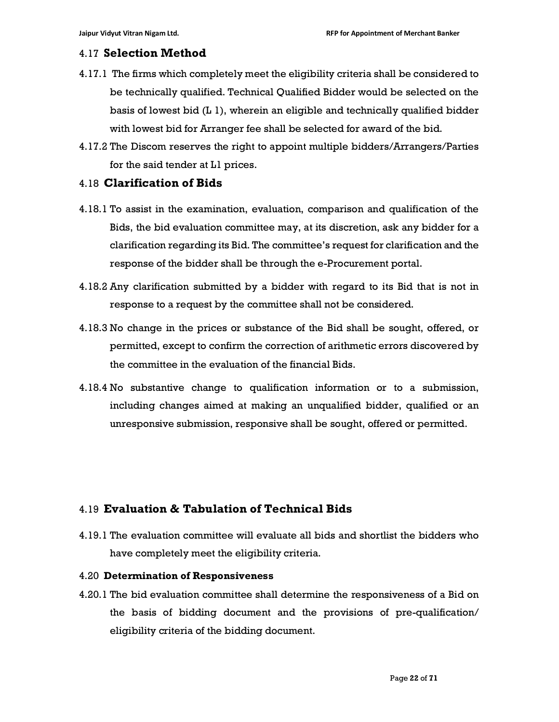#### 4.17 Selection Method

- 4.17.1 The firms which completely meet the eligibility criteria shall be considered to be technically qualified. Technical Qualified Bidder would be selected on the basis of lowest bid (L 1), wherein an eligible and technically qualified bidder with lowest bid for Arranger fee shall be selected for award of the bid.
- 4.17.2 The Discom reserves the right to appoint multiple bidders/Arrangers/Parties for the said tender at L1 prices.

#### 4.18 Clarification of Bids

- 4.18.1 To assist in the examination, evaluation, comparison and qualification of the Bids, the bid evaluation committee may, at its discretion, ask any bidder for a clarification regarding its Bid. The committee's request for clarification and the response of the bidder shall be through the e-Procurement portal.
- 4.18.2 Any clarification submitted by a bidder with regard to its Bid that is not in response to a request by the committee shall not be considered.
- 4.18.3 No change in the prices or substance of the Bid shall be sought, offered, or permitted, except to confirm the correction of arithmetic errors discovered by the committee in the evaluation of the financial Bids.
- 4.18.4 No substantive change to qualification information or to a submission, including changes aimed at making an unqualified bidder, qualified or an unresponsive submission, responsive shall be sought, offered or permitted.

# 4.19 Evaluation & Tabulation of Technical Bids

4.19.1 The evaluation committee will evaluate all bids and shortlist the bidders who have completely meet the eligibility criteria.

#### 4.20 Determination of Responsiveness

4.20.1 The bid evaluation committee shall determine the responsiveness of a Bid on the basis of bidding document and the provisions of pre-qualification/ eligibility criteria of the bidding document.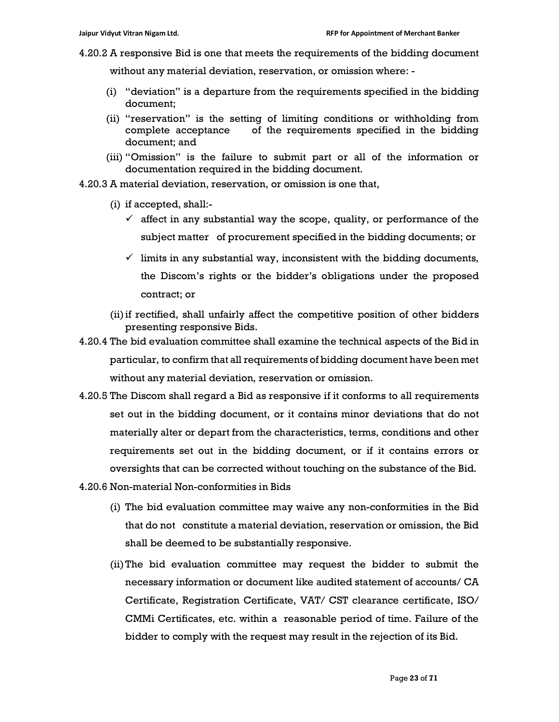4.20.2 A responsive Bid is one that meets the requirements of the bidding document

without any material deviation, reservation, or omission where: -

- (i) "deviation" is a departure from the requirements specified in the bidding document;
- (ii) "reservation" is the setting of limiting conditions or withholding from complete acceptance of the requirements specified in the bidding document; and
- (iii) "Omission" is the failure to submit part or all of the information or documentation required in the bidding document.
- 4.20.3 A material deviation, reservation, or omission is one that,
	- (i) if accepted, shall:-
		- $\checkmark$  affect in any substantial way the scope, quality, or performance of the subject matter of procurement specified in the bidding documents; or
		- $\checkmark$  limits in any substantial way, inconsistent with the bidding documents, the Discom's rights or the bidder's obligations under the proposed contract; or
	- (ii)if rectified, shall unfairly affect the competitive position of other bidders presenting responsive Bids.
- 4.20.4 The bid evaluation committee shall examine the technical aspects of the Bid in particular, to confirm that all requirements of bidding document have been met without any material deviation, reservation or omission.
- 4.20.5 The Discom shall regard a Bid as responsive if it conforms to all requirements set out in the bidding document, or it contains minor deviations that do not materially alter or depart from the characteristics, terms, conditions and other requirements set out in the bidding document, or if it contains errors or oversights that can be corrected without touching on the substance of the Bid.
- 4.20.6 Non-material Non-conformities in Bids
	- (i) The bid evaluation committee may waive any non-conformities in the Bid that do not constitute a material deviation, reservation or omission, the Bid shall be deemed to be substantially responsive.
	- (ii)The bid evaluation committee may request the bidder to submit the necessary information or document like audited statement of accounts/ CA Certificate, Registration Certificate, VAT/ CST clearance certificate, ISO/ CMMi Certificates, etc. within a reasonable period of time. Failure of the bidder to comply with the request may result in the rejection of its Bid.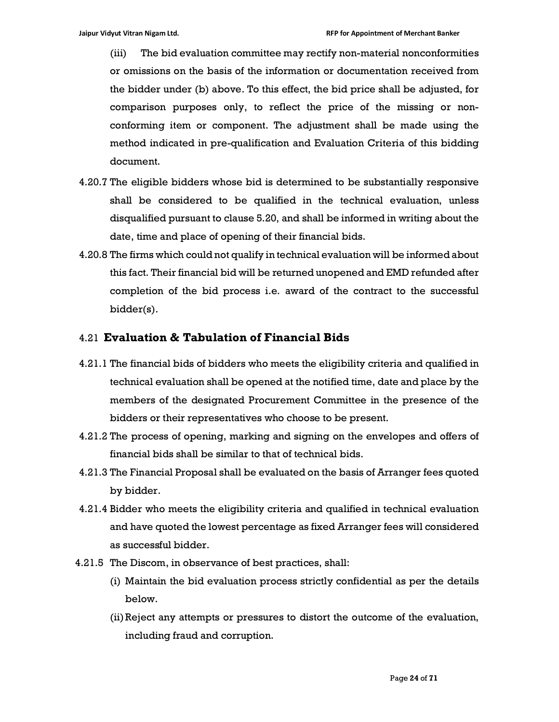(iii) The bid evaluation committee may rectify non-material nonconformities or omissions on the basis of the information or documentation received from the bidder under (b) above. To this effect, the bid price shall be adjusted, for comparison purposes only, to reflect the price of the missing or nonconforming item or component. The adjustment shall be made using the method indicated in pre-qualification and Evaluation Criteria of this bidding document.

- 4.20.7 The eligible bidders whose bid is determined to be substantially responsive shall be considered to be qualified in the technical evaluation, unless disqualified pursuant to clause 5.20, and shall be informed in writing about the date, time and place of opening of their financial bids.
- 4.20.8 The firms which could not qualify in technical evaluation will be informed about this fact. Their financial bid will be returned unopened and EMD refunded after completion of the bid process i.e. award of the contract to the successful bidder(s).

# 4.21 Evaluation & Tabulation of Financial Bids

- 4.21.1 The financial bids of bidders who meets the eligibility criteria and qualified in technical evaluation shall be opened at the notified time, date and place by the members of the designated Procurement Committee in the presence of the bidders or their representatives who choose to be present.
- 4.21.2 The process of opening, marking and signing on the envelopes and offers of financial bids shall be similar to that of technical bids.
- 4.21.3 The Financial Proposal shall be evaluated on the basis of Arranger fees quoted by bidder.
- 4.21.4 Bidder who meets the eligibility criteria and qualified in technical evaluation and have quoted the lowest percentage as fixed Arranger fees will considered as successful bidder.
- 4.21.5 The Discom, in observance of best practices, shall:
	- (i) Maintain the bid evaluation process strictly confidential as per the details below.
	- (ii)Reject any attempts or pressures to distort the outcome of the evaluation, including fraud and corruption.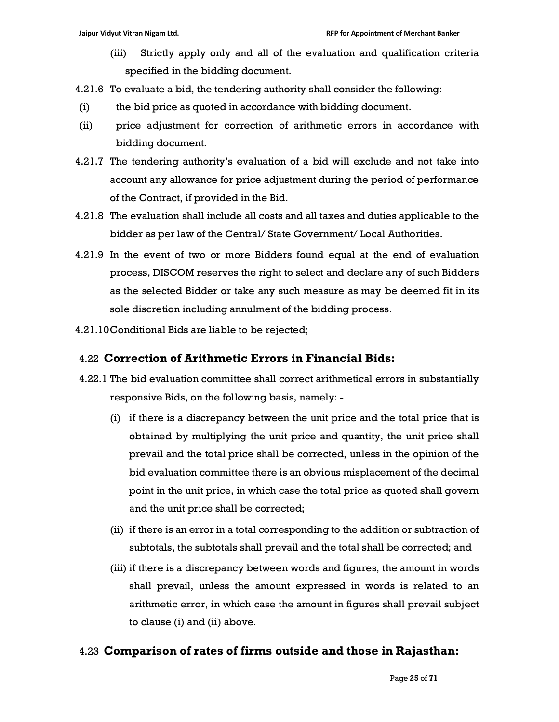- (iii) Strictly apply only and all of the evaluation and qualification criteria specified in the bidding document.
- 4.21.6 To evaluate a bid, the tendering authority shall consider the following: -
- (i) the bid price as quoted in accordance with bidding document.
- (ii) price adjustment for correction of arithmetic errors in accordance with bidding document.
- 4.21.7 The tendering authority's evaluation of a bid will exclude and not take into account any allowance for price adjustment during the period of performance of the Contract, if provided in the Bid.
- 4.21.8 The evaluation shall include all costs and all taxes and duties applicable to the bidder as per law of the Central/ State Government/ Local Authorities.
- 4.21.9 In the event of two or more Bidders found equal at the end of evaluation process, DISCOM reserves the right to select and declare any of such Bidders as the selected Bidder or take any such measure as may be deemed fit in its sole discretion including annulment of the bidding process.
- 4.21.10Conditional Bids are liable to be rejected;

## 4.22 Correction of Arithmetic Errors in Financial Bids:

- 4.22.1 The bid evaluation committee shall correct arithmetical errors in substantially responsive Bids, on the following basis, namely: -
	- (i) if there is a discrepancy between the unit price and the total price that is obtained by multiplying the unit price and quantity, the unit price shall prevail and the total price shall be corrected, unless in the opinion of the bid evaluation committee there is an obvious misplacement of the decimal point in the unit price, in which case the total price as quoted shall govern and the unit price shall be corrected;
	- (ii) if there is an error in a total corresponding to the addition or subtraction of subtotals, the subtotals shall prevail and the total shall be corrected; and
	- (iii) if there is a discrepancy between words and figures, the amount in words shall prevail, unless the amount expressed in words is related to an arithmetic error, in which case the amount in figures shall prevail subject to clause (i) and (ii) above.

# 4.23 Comparison of rates of firms outside and those in Rajasthan: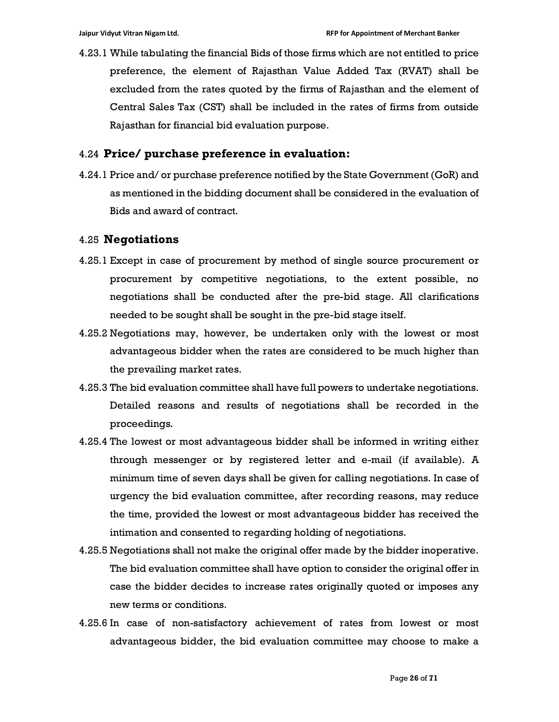4.23.1 While tabulating the financial Bids of those firms which are not entitled to price preference, the element of Rajasthan Value Added Tax (RVAT) shall be excluded from the rates quoted by the firms of Rajasthan and the element of Central Sales Tax (CST) shall be included in the rates of firms from outside Rajasthan for financial bid evaluation purpose.

#### 4.24 Price/ purchase preference in evaluation:

4.24.1 Price and/ or purchase preference notified by the State Government (GoR) and as mentioned in the bidding document shall be considered in the evaluation of Bids and award of contract.

#### 4.25 Negotiations

- 4.25.1 Except in case of procurement by method of single source procurement or procurement by competitive negotiations, to the extent possible, no negotiations shall be conducted after the pre-bid stage. All clarifications needed to be sought shall be sought in the pre-bid stage itself.
- 4.25.2 Negotiations may, however, be undertaken only with the lowest or most advantageous bidder when the rates are considered to be much higher than the prevailing market rates.
- 4.25.3 The bid evaluation committee shall have full powers to undertake negotiations. Detailed reasons and results of negotiations shall be recorded in the proceedings.
- 4.25.4 The lowest or most advantageous bidder shall be informed in writing either through messenger or by registered letter and e-mail (if available). A minimum time of seven days shall be given for calling negotiations. In case of urgency the bid evaluation committee, after recording reasons, may reduce the time, provided the lowest or most advantageous bidder has received the intimation and consented to regarding holding of negotiations.
- 4.25.5 Negotiations shall not make the original offer made by the bidder inoperative. The bid evaluation committee shall have option to consider the original offer in case the bidder decides to increase rates originally quoted or imposes any new terms or conditions.
- 4.25.6 In case of non-satisfactory achievement of rates from lowest or most advantageous bidder, the bid evaluation committee may choose to make a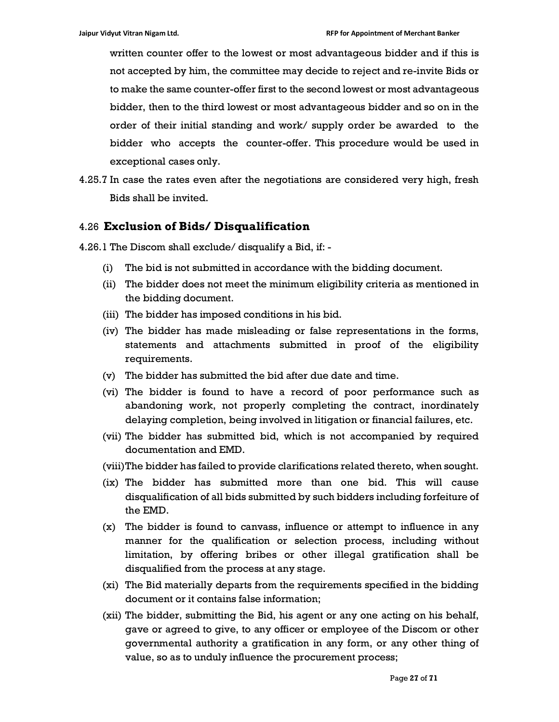written counter offer to the lowest or most advantageous bidder and if this is not accepted by him, the committee may decide to reject and re-invite Bids or to make the same counter-offer first to the second lowest or most advantageous bidder, then to the third lowest or most advantageous bidder and so on in the order of their initial standing and work/ supply order be awarded to the bidder who accepts the counter-offer. This procedure would be used in exceptional cases only.

4.25.7 In case the rates even after the negotiations are considered very high, fresh Bids shall be invited.

## 4.26 Exclusion of Bids/ Disqualification

- 4.26.1 The Discom shall exclude/ disqualify a Bid, if:
	- (i) The bid is not submitted in accordance with the bidding document.
	- (ii) The bidder does not meet the minimum eligibility criteria as mentioned in the bidding document.
	- (iii) The bidder has imposed conditions in his bid.
	- (iv) The bidder has made misleading or false representations in the forms, statements and attachments submitted in proof of the eligibility requirements.
	- (v) The bidder has submitted the bid after due date and time.
	- (vi) The bidder is found to have a record of poor performance such as abandoning work, not properly completing the contract, inordinately delaying completion, being involved in litigation or financial failures, etc.
	- (vii) The bidder has submitted bid, which is not accompanied by required documentation and EMD.
	- (viii)The bidder has failed to provide clarifications related thereto, when sought.
	- (ix) The bidder has submitted more than one bid. This will cause disqualification of all bids submitted by such bidders including forfeiture of the EMD.
	- (x) The bidder is found to canvass, influence or attempt to influence in any manner for the qualification or selection process, including without limitation, by offering bribes or other illegal gratification shall be disqualified from the process at any stage.
	- (xi) The Bid materially departs from the requirements specified in the bidding document or it contains false information;
	- (xii) The bidder, submitting the Bid, his agent or any one acting on his behalf, gave or agreed to give, to any officer or employee of the Discom or other governmental authority a gratification in any form, or any other thing of value, so as to unduly influence the procurement process;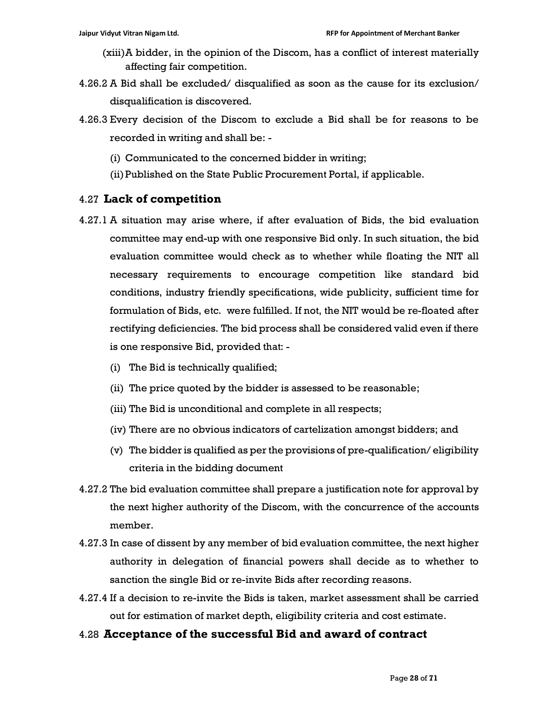- (xiii)A bidder, in the opinion of the Discom, has a conflict of interest materially affecting fair competition.
- 4.26.2 A Bid shall be excluded/ disqualified as soon as the cause for its exclusion/ disqualification is discovered.
- 4.26.3 Every decision of the Discom to exclude a Bid shall be for reasons to be recorded in writing and shall be: -
	- (i) Communicated to the concerned bidder in writing;
	- (ii)Published on the State Public Procurement Portal, if applicable.

## 4.27 Lack of competition

- 4.27.1 A situation may arise where, if after evaluation of Bids, the bid evaluation committee may end-up with one responsive Bid only. In such situation, the bid evaluation committee would check as to whether while floating the NIT all necessary requirements to encourage competition like standard bid conditions, industry friendly specifications, wide publicity, sufficient time for formulation of Bids, etc. were fulfilled. If not, the NIT would be re-floated after rectifying deficiencies. The bid process shall be considered valid even if there is one responsive Bid, provided that: -
	- (i) The Bid is technically qualified;
	- (ii) The price quoted by the bidder is assessed to be reasonable;
	- (iii) The Bid is unconditional and complete in all respects;
	- (iv) There are no obvious indicators of cartelization amongst bidders; and
	- (v) The bidder is qualified as per the provisions of pre-qualification/ eligibility criteria in the bidding document
- 4.27.2 The bid evaluation committee shall prepare a justification note for approval by the next higher authority of the Discom, with the concurrence of the accounts member.
- 4.27.3 In case of dissent by any member of bid evaluation committee, the next higher authority in delegation of financial powers shall decide as to whether to sanction the single Bid or re-invite Bids after recording reasons.
- 4.27.4 If a decision to re-invite the Bids is taken, market assessment shall be carried out for estimation of market depth, eligibility criteria and cost estimate.

#### 4.28 Acceptance of the successful Bid and award of contract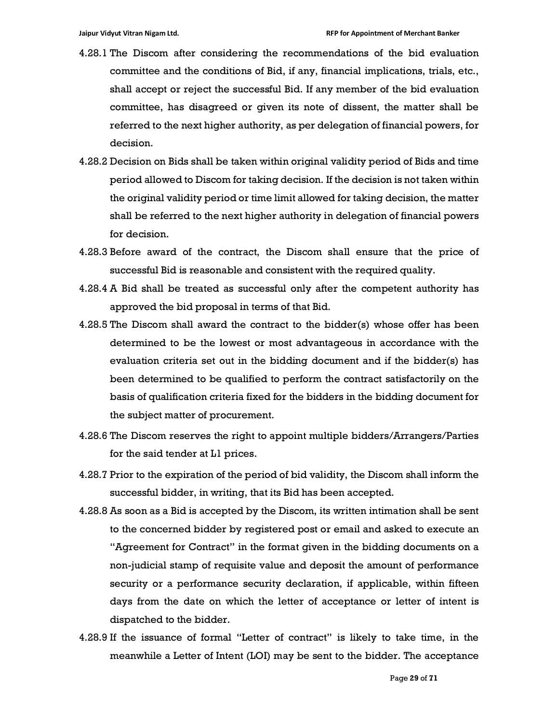- 4.28.1 The Discom after considering the recommendations of the bid evaluation committee and the conditions of Bid, if any, financial implications, trials, etc., shall accept or reject the successful Bid. If any member of the bid evaluation committee, has disagreed or given its note of dissent, the matter shall be referred to the next higher authority, as per delegation of financial powers, for decision.
- 4.28.2 Decision on Bids shall be taken within original validity period of Bids and time period allowed to Discom for taking decision. If the decision is not taken within the original validity period or time limit allowed for taking decision, the matter shall be referred to the next higher authority in delegation of financial powers for decision.
- 4.28.3 Before award of the contract, the Discom shall ensure that the price of successful Bid is reasonable and consistent with the required quality.
- 4.28.4 A Bid shall be treated as successful only after the competent authority has approved the bid proposal in terms of that Bid.
- 4.28.5 The Discom shall award the contract to the bidder(s) whose offer has been determined to be the lowest or most advantageous in accordance with the evaluation criteria set out in the bidding document and if the bidder(s) has been determined to be qualified to perform the contract satisfactorily on the basis of qualification criteria fixed for the bidders in the bidding document for the subject matter of procurement.
- 4.28.6 The Discom reserves the right to appoint multiple bidders/Arrangers/Parties for the said tender at L1 prices.
- 4.28.7 Prior to the expiration of the period of bid validity, the Discom shall inform the successful bidder, in writing, that its Bid has been accepted.
- 4.28.8 As soon as a Bid is accepted by the Discom, its written intimation shall be sent to the concerned bidder by registered post or email and asked to execute an "Agreement for Contract" in the format given in the bidding documents on a non-judicial stamp of requisite value and deposit the amount of performance security or a performance security declaration, if applicable, within fifteen days from the date on which the letter of acceptance or letter of intent is dispatched to the bidder.
- 4.28.9 If the issuance of formal "Letter of contract" is likely to take time, in the meanwhile a Letter of Intent (LOI) may be sent to the bidder. The acceptance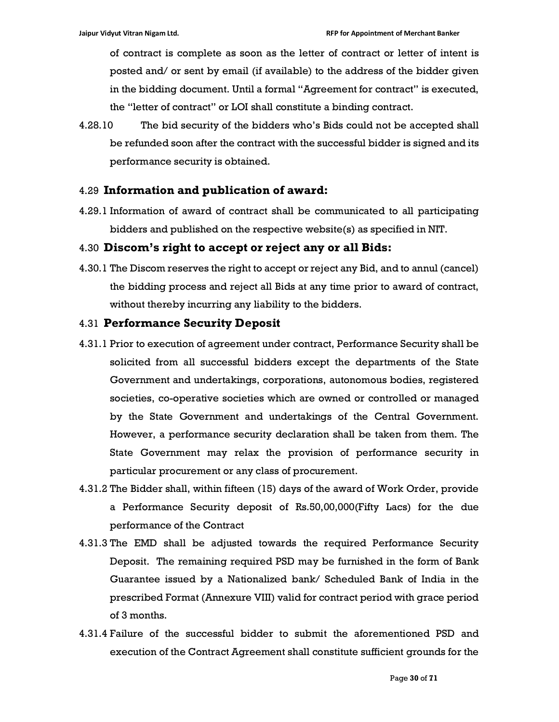of contract is complete as soon as the letter of contract or letter of intent is posted and/ or sent by email (if available) to the address of the bidder given in the bidding document. Until a formal "Agreement for contract" is executed, the "letter of contract" or LOI shall constitute a binding contract.

4.28.10 The bid security of the bidders who's Bids could not be accepted shall be refunded soon after the contract with the successful bidder is signed and its performance security is obtained.

## 4.29 Information and publication of award:

4.29.1 Information of award of contract shall be communicated to all participating bidders and published on the respective website(s) as specified in NIT.

## 4.30 Discom's right to accept or reject any or all Bids:

4.30.1 The Discom reserves the right to accept or reject any Bid, and to annul (cancel) the bidding process and reject all Bids at any time prior to award of contract, without thereby incurring any liability to the bidders.

#### 4.31 Performance Security Deposit

- 4.31.1 Prior to execution of agreement under contract, Performance Security shall be solicited from all successful bidders except the departments of the State Government and undertakings, corporations, autonomous bodies, registered societies, co-operative societies which are owned or controlled or managed by the State Government and undertakings of the Central Government. However, a performance security declaration shall be taken from them. The State Government may relax the provision of performance security in particular procurement or any class of procurement.
- 4.31.2 The Bidder shall, within fifteen (15) days of the award of Work Order, provide a Performance Security deposit of Rs.50,00,000(Fifty Lacs) for the due performance of the Contract
- 4.31.3 The EMD shall be adjusted towards the required Performance Security Deposit. The remaining required PSD may be furnished in the form of Bank Guarantee issued by a Nationalized bank/ Scheduled Bank of India in the prescribed Format (Annexure VIII) valid for contract period with grace period of 3 months.
- 4.31.4 Failure of the successful bidder to submit the aforementioned PSD and execution of the Contract Agreement shall constitute sufficient grounds for the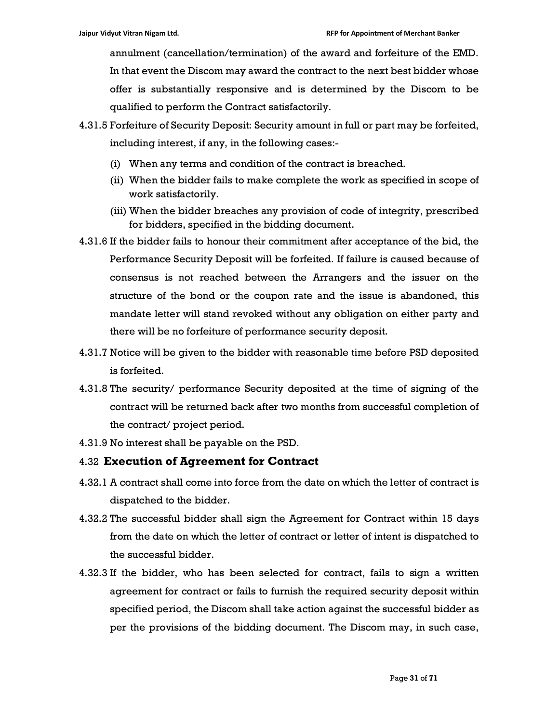annulment (cancellation/termination) of the award and forfeiture of the EMD. In that event the Discom may award the contract to the next best bidder whose offer is substantially responsive and is determined by the Discom to be qualified to perform the Contract satisfactorily.

- 4.31.5 Forfeiture of Security Deposit: Security amount in full or part may be forfeited, including interest, if any, in the following cases:-
	- (i) When any terms and condition of the contract is breached.
	- (ii) When the bidder fails to make complete the work as specified in scope of work satisfactorily.
	- (iii) When the bidder breaches any provision of code of integrity, prescribed for bidders, specified in the bidding document.
- 4.31.6 If the bidder fails to honour their commitment after acceptance of the bid, the Performance Security Deposit will be forfeited. If failure is caused because of consensus is not reached between the Arrangers and the issuer on the structure of the bond or the coupon rate and the issue is abandoned, this mandate letter will stand revoked without any obligation on either party and there will be no forfeiture of performance security deposit.
- 4.31.7 Notice will be given to the bidder with reasonable time before PSD deposited is forfeited.
- 4.31.8 The security/ performance Security deposited at the time of signing of the contract will be returned back after two months from successful completion of the contract/ project period.
- 4.31.9 No interest shall be payable on the PSD.

# 4.32 Execution of Agreement for Contract

- 4.32.1 A contract shall come into force from the date on which the letter of contract is dispatched to the bidder.
- 4.32.2 The successful bidder shall sign the Agreement for Contract within 15 days from the date on which the letter of contract or letter of intent is dispatched to the successful bidder.
- 4.32.3 If the bidder, who has been selected for contract, fails to sign a written agreement for contract or fails to furnish the required security deposit within specified period, the Discom shall take action against the successful bidder as per the provisions of the bidding document. The Discom may, in such case,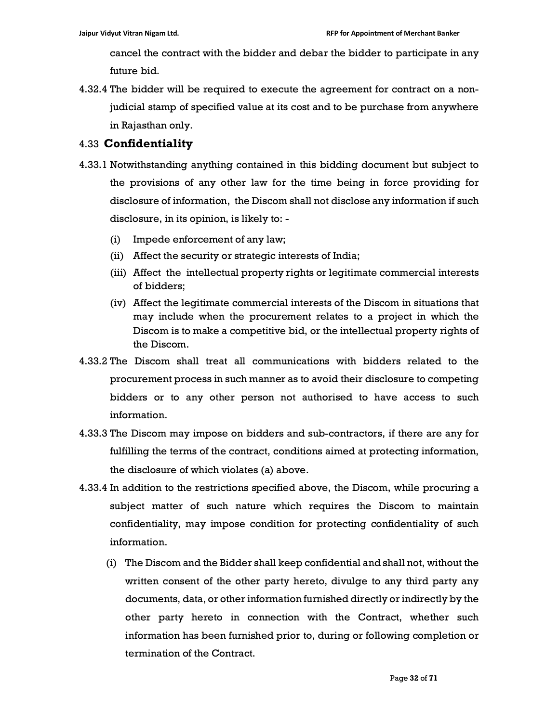cancel the contract with the bidder and debar the bidder to participate in any future bid.

4.32.4 The bidder will be required to execute the agreement for contract on a nonjudicial stamp of specified value at its cost and to be purchase from anywhere in Rajasthan only.

# 4.33 Confidentiality

- 4.33.1 Notwithstanding anything contained in this bidding document but subject to the provisions of any other law for the time being in force providing for disclosure of information, the Discom shall not disclose any information if such disclosure, in its opinion, is likely to: -
	- (i) Impede enforcement of any law;
	- (ii) Affect the security or strategic interests of India;
	- (iii) Affect the intellectual property rights or legitimate commercial interests of bidders;
	- (iv) Affect the legitimate commercial interests of the Discom in situations that may include when the procurement relates to a project in which the Discom is to make a competitive bid, or the intellectual property rights of the Discom.
- 4.33.2 The Discom shall treat all communications with bidders related to the procurement process in such manner as to avoid their disclosure to competing bidders or to any other person not authorised to have access to such information.
- 4.33.3 The Discom may impose on bidders and sub-contractors, if there are any for fulfilling the terms of the contract, conditions aimed at protecting information, the disclosure of which violates (a) above.
- 4.33.4 In addition to the restrictions specified above, the Discom, while procuring a subject matter of such nature which requires the Discom to maintain confidentiality, may impose condition for protecting confidentiality of such information.
	- (i) The Discom and the Bidder shall keep confidential and shall not, without the written consent of the other party hereto, divulge to any third party any documents, data, or other information furnished directly or indirectly by the other party hereto in connection with the Contract, whether such information has been furnished prior to, during or following completion or termination of the Contract.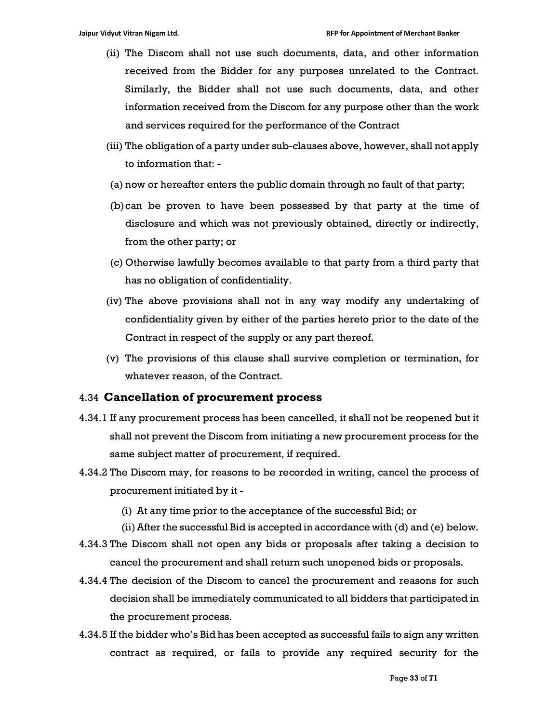- (ii) The Discom shall not use such documents, data, and other information received from the Bidder for any purposes unrelated to the Contract. Similarly, the Bidder shall not use such documents, data, and other information received from the Discom for any purpose other than the work and services required for the performance of the Contract
- (iii) The obligation of a party under sub-clauses above, however, shall not apply to information that: -
- (a) now or hereafter enters the public domain through no fault of that party;
- (b)can be proven to have been possessed by that party at the time of disclosure and which was not previously obtained, directly or indirectly, from the other party; or
- (c) Otherwise lawfully becomes available to that party from a third party that has no obligation of confidentiality.
- (iv) The above provisions shall not in any way modify any undertaking of confidentiality given by either of the parties hereto prior to the date of the Contract in respect of the supply or any part thereof.
- (v) The provisions of this clause shall survive completion or termination, for whatever reason, of the Contract.

#### 4.34 Cancellation of procurement process

- 4.34.1 If any procurement process has been cancelled, it shall not be reopened but it shall not prevent the Discom from initiating a new procurement process for the same subject matter of procurement, if required.
- 4.34.2 The Discom may, for reasons to be recorded in writing, cancel the process of procurement initiated by it -
	- (i) At any time prior to the acceptance of the successful Bid; or
	- (ii)After the successful Bid is accepted in accordance with (d) and (e) below.
- 4.34.3 The Discom shall not open any bids or proposals after taking a decision to cancel the procurement and shall return such unopened bids or proposals.
- 4.34.4 The decision of the Discom to cancel the procurement and reasons for such decision shall be immediately communicated to all bidders that participated in the procurement process.
- 4.34.5 If the bidder who's Bid has been accepted as successful fails to sign any written contract as required, or fails to provide any required security for the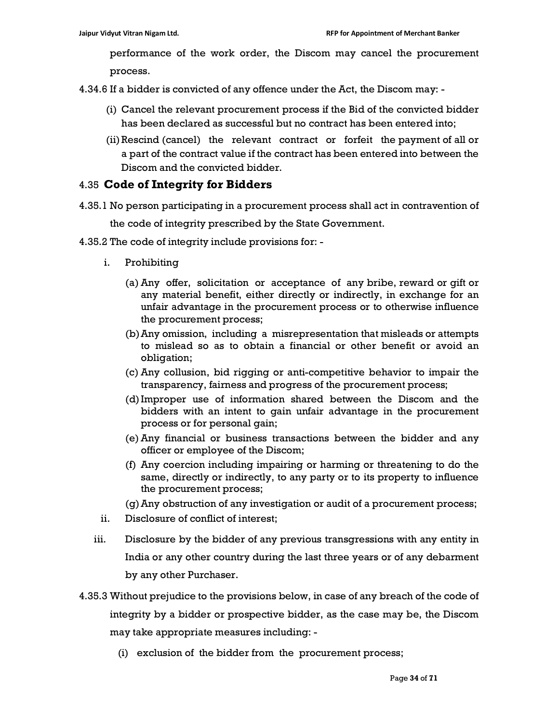performance of the work order, the Discom may cancel the procurement process.

4.34.6 If a bidder is convicted of any offence under the Act, the Discom may: -

- (i) Cancel the relevant procurement process if the Bid of the convicted bidder has been declared as successful but no contract has been entered into;
- (ii)Rescind (cancel) the relevant contract or forfeit the payment of all or a part of the contract value if the contract has been entered into between the Discom and the convicted bidder.

# 4.35 Code of Integrity for Bidders

- 4.35.1 No person participating in a procurement process shall act in contravention of the code of integrity prescribed by the State Government.
- 4.35.2 The code of integrity include provisions for:
	- i. Prohibiting
		- (a) Any offer, solicitation or acceptance of any bribe, reward or gift or any material benefit, either directly or indirectly, in exchange for an unfair advantage in the procurement process or to otherwise influence the procurement process;
		- (b)Any omission, including a misrepresentation that misleads or attempts to mislead so as to obtain a financial or other benefit or avoid an obligation;
		- (c) Any collusion, bid rigging or anti-competitive behavior to impair the transparency, fairness and progress of the procurement process;
		- (d)Improper use of information shared between the Discom and the bidders with an intent to gain unfair advantage in the procurement process or for personal gain;
		- (e) Any financial or business transactions between the bidder and any officer or employee of the Discom;
		- (f) Any coercion including impairing or harming or threatening to do the same, directly or indirectly, to any party or to its property to influence the procurement process;
		- (g)Any obstruction of any investigation or audit of a procurement process;
	- ii. Disclosure of conflict of interest;
	- iii. Disclosure by the bidder of any previous transgressions with any entity in India or any other country during the last three years or of any debarment by any other Purchaser.
- 4.35.3 Without prejudice to the provisions below, in case of any breach of the code of integrity by a bidder or prospective bidder, as the case may be, the Discom may take appropriate measures including: -
	- (i) exclusion of the bidder from the procurement process;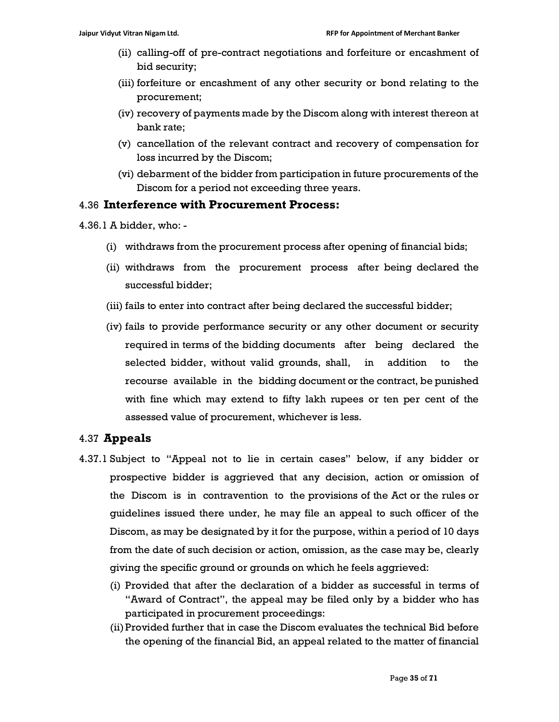- (ii) calling-off of pre-contract negotiations and forfeiture or encashment of bid security;
- (iii) forfeiture or encashment of any other security or bond relating to the procurement;
- (iv) recovery of payments made by the Discom along with interest thereon at bank rate;
- (v) cancellation of the relevant contract and recovery of compensation for loss incurred by the Discom;
- (vi) debarment of the bidder from participation in future procurements of the Discom for a period not exceeding three years.

# 4.36 Interference with Procurement Process:

- 4.36.1 A bidder, who:
	- (i) withdraws from the procurement process after opening of financial bids;
	- (ii) withdraws from the procurement process after being declared the successful bidder;
	- (iii) fails to enter into contract after being declared the successful bidder;
	- (iv) fails to provide performance security or any other document or security required in terms of the bidding documents after being declared the selected bidder, without valid grounds, shall, in addition to the recourse available in the bidding document or the contract, be punished with fine which may extend to fifty lakh rupees or ten per cent of the assessed value of procurement, whichever is less.

# 4.37 Appeals

- 4.37.1 Subject to "Appeal not to lie in certain cases" below, if any bidder or prospective bidder is aggrieved that any decision, action or omission of the Discom is in contravention to the provisions of the Act or the rules or guidelines issued there under, he may file an appeal to such officer of the Discom, as may be designated by it for the purpose, within a period of 10 days from the date of such decision or action, omission, as the case may be, clearly giving the specific ground or grounds on which he feels aggrieved:
	- (i) Provided that after the declaration of a bidder as successful in terms of "Award of Contract", the appeal may be filed only by a bidder who has participated in procurement proceedings:
	- (ii)Provided further that in case the Discom evaluates the technical Bid before the opening of the financial Bid, an appeal related to the matter of financial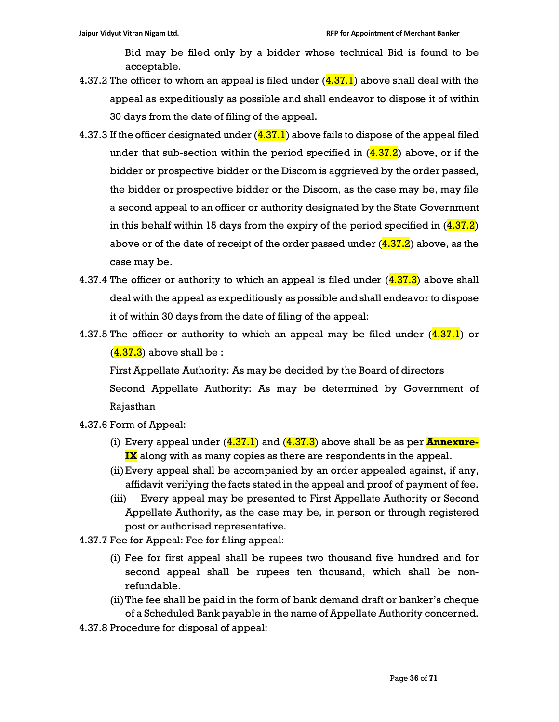Bid may be filed only by a bidder whose technical Bid is found to be acceptable.

- 4.37.2 The officer to whom an appeal is filed under  $(4.37.1)$  above shall deal with the appeal as expeditiously as possible and shall endeavor to dispose it of within 30 days from the date of filing of the appeal.
- 4.37.3 If the officer designated under  $(4.37.1)$  above fails to dispose of the appeal filed under that sub-section within the period specified in  $(4.37.2)$  above, or if the bidder or prospective bidder or the Discom is aggrieved by the order passed, the bidder or prospective bidder or the Discom, as the case may be, may file a second appeal to an officer or authority designated by the State Government in this behalf within 15 days from the expiry of the period specified in  $(4.37.2)$ above or of the date of receipt of the order passed under  $(4.37.2)$  above, as the case may be.
- 4.37.4 The officer or authority to which an appeal is filed under  $(4.37.3)$  above shall deal with the appeal as expeditiously as possible and shall endeavor to dispose it of within 30 days from the date of filing of the appeal:
- 4.37.5 The officer or authority to which an appeal may be filed under  $(4.37.1)$  or  $(4.37.3)$  above shall be :

First Appellate Authority: As may be decided by the Board of directors Second Appellate Authority: As may be determined by Government of Rajasthan

- 4.37.6 Form of Appeal:
	- (i) Every appeal under  $(4.37.1)$  and  $(4.37.3)$  above shall be as per **Annexure**-**IX** along with as many copies as there are respondents in the appeal.
	- (ii)Every appeal shall be accompanied by an order appealed against, if any, affidavit verifying the facts stated in the appeal and proof of payment of fee.
	- (iii) Every appeal may be presented to First Appellate Authority or Second Appellate Authority, as the case may be, in person or through registered post or authorised representative.
- 4.37.7 Fee for Appeal: Fee for filing appeal:
	- (i) Fee for first appeal shall be rupees two thousand five hundred and for second appeal shall be rupees ten thousand, which shall be nonrefundable.
	- (ii)The fee shall be paid in the form of bank demand draft or banker's cheque of a Scheduled Bank payable in the name of Appellate Authority concerned.
- 4.37.8 Procedure for disposal of appeal: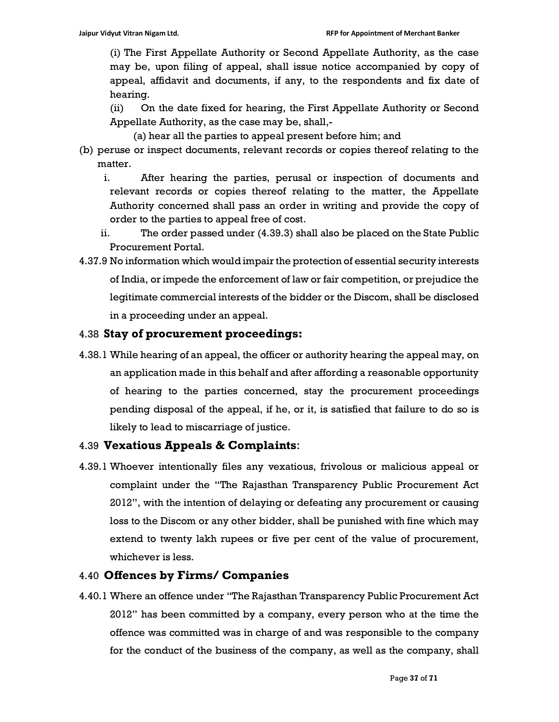(i) The First Appellate Authority or Second Appellate Authority, as the case may be, upon filing of appeal, shall issue notice accompanied by copy of appeal, affidavit and documents, if any, to the respondents and fix date of hearing.

(ii) On the date fixed for hearing, the First Appellate Authority or Second Appellate Authority, as the case may be, shall,-

(a) hear all the parties to appeal present before him; and

- (b) peruse or inspect documents, relevant records or copies thereof relating to the matter.
	- i. After hearing the parties, perusal or inspection of documents and relevant records or copies thereof relating to the matter, the Appellate Authority concerned shall pass an order in writing and provide the copy of order to the parties to appeal free of cost.
	- ii. The order passed under (4.39.3) shall also be placed on the State Public Procurement Portal.
- 4.37.9 No information which would impair the protection of essential security interests of India, or impede the enforcement of law or fair competition, or prejudice the legitimate commercial interests of the bidder or the Discom, shall be disclosed in a proceeding under an appeal.

# 4.38 Stay of procurement proceedings:

4.38.1 While hearing of an appeal, the officer or authority hearing the appeal may, on an application made in this behalf and after affording a reasonable opportunity of hearing to the parties concerned, stay the procurement proceedings pending disposal of the appeal, if he, or it, is satisfied that failure to do so is likely to lead to miscarriage of justice.

# 4.39 Vexatious Appeals & Complaints:

4.39.1 Whoever intentionally files any vexatious, frivolous or malicious appeal or complaint under the "The Rajasthan Transparency Public Procurement Act 2012", with the intention of delaying or defeating any procurement or causing loss to the Discom or any other bidder, shall be punished with fine which may extend to twenty lakh rupees or five per cent of the value of procurement, whichever is less.

# 4.40 Offences by Firms/ Companies

4.40.1 Where an offence under "The Rajasthan Transparency Public Procurement Act 2012" has been committed by a company, every person who at the time the offence was committed was in charge of and was responsible to the company for the conduct of the business of the company, as well as the company, shall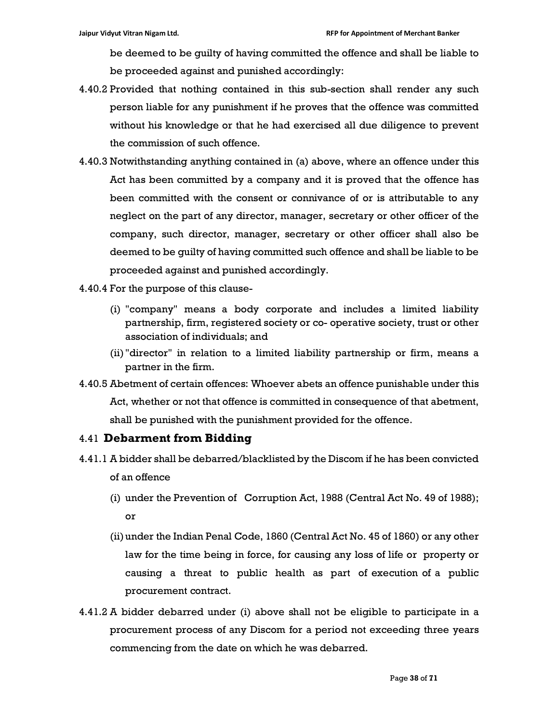be deemed to be guilty of having committed the offence and shall be liable to be proceeded against and punished accordingly:

- 4.40.2 Provided that nothing contained in this sub-section shall render any such person liable for any punishment if he proves that the offence was committed without his knowledge or that he had exercised all due diligence to prevent the commission of such offence.
- 4.40.3 Notwithstanding anything contained in (a) above, where an offence under this Act has been committed by a company and it is proved that the offence has been committed with the consent or connivance of or is attributable to any neglect on the part of any director, manager, secretary or other officer of the company, such director, manager, secretary or other officer shall also be deemed to be guilty of having committed such offence and shall be liable to be proceeded against and punished accordingly.
- 4.40.4 For the purpose of this clause-
	- (i) "company" means a body corporate and includes a limited liability partnership, firm, registered society or co- operative society, trust or other association of individuals; and
	- (ii) "director" in relation to a limited liability partnership or firm, means a partner in the firm.
- 4.40.5 Abetment of certain offences: Whoever abets an offence punishable under this Act, whether or not that offence is committed in consequence of that abetment, shall be punished with the punishment provided for the offence.

#### 4.41 Debarment from Bidding

- 4.41.1 A bidder shall be debarred/blacklisted by the Discom if he has been convicted of an offence
	- (i) under the Prevention of Corruption Act, 1988 (Central Act No. 49 of 1988); or
	- (ii)under the Indian Penal Code, 1860 (Central Act No. 45 of 1860) or any other law for the time being in force, for causing any loss of life or property or causing a threat to public health as part of execution of a public procurement contract.
- 4.41.2 A bidder debarred under (i) above shall not be eligible to participate in a procurement process of any Discom for a period not exceeding three years commencing from the date on which he was debarred.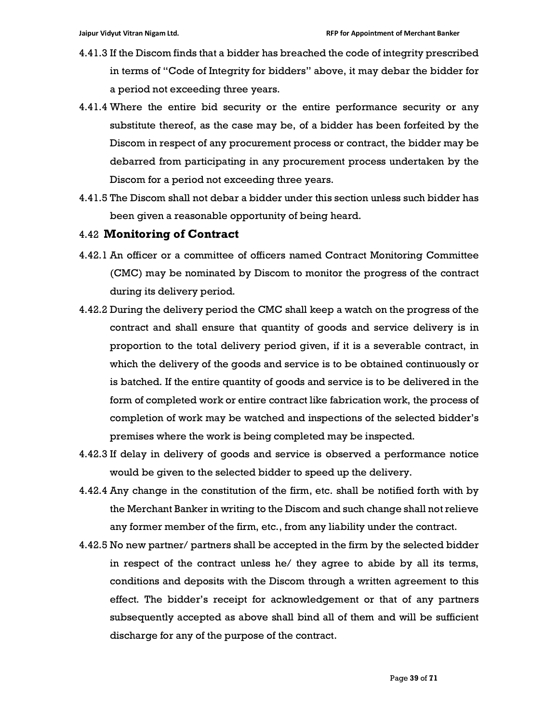- 4.41.3 If the Discom finds that a bidder has breached the code of integrity prescribed in terms of "Code of Integrity for bidders" above, it may debar the bidder for a period not exceeding three years.
- 4.41.4 Where the entire bid security or the entire performance security or any substitute thereof, as the case may be, of a bidder has been forfeited by the Discom in respect of any procurement process or contract, the bidder may be debarred from participating in any procurement process undertaken by the Discom for a period not exceeding three years.
- 4.41.5 The Discom shall not debar a bidder under this section unless such bidder has been given a reasonable opportunity of being heard.

#### 4.42 Monitoring of Contract

- 4.42.1 An officer or a committee of officers named Contract Monitoring Committee (CMC) may be nominated by Discom to monitor the progress of the contract during its delivery period.
- 4.42.2 During the delivery period the CMC shall keep a watch on the progress of the contract and shall ensure that quantity of goods and service delivery is in proportion to the total delivery period given, if it is a severable contract, in which the delivery of the goods and service is to be obtained continuously or is batched. If the entire quantity of goods and service is to be delivered in the form of completed work or entire contract like fabrication work, the process of completion of work may be watched and inspections of the selected bidder's premises where the work is being completed may be inspected.
- 4.42.3 If delay in delivery of goods and service is observed a performance notice would be given to the selected bidder to speed up the delivery.
- 4.42.4 Any change in the constitution of the firm, etc. shall be notified forth with by the Merchant Banker in writing to the Discom and such change shall not relieve any former member of the firm, etc., from any liability under the contract.
- 4.42.5 No new partner/ partners shall be accepted in the firm by the selected bidder in respect of the contract unless he/ they agree to abide by all its terms, conditions and deposits with the Discom through a written agreement to this effect. The bidder's receipt for acknowledgement or that of any partners subsequently accepted as above shall bind all of them and will be sufficient discharge for any of the purpose of the contract.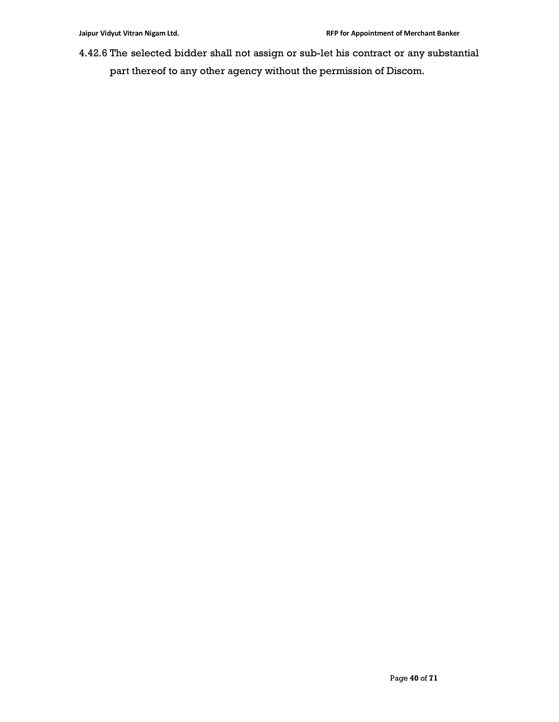4.42.6 The selected bidder shall not assign or sub-let his contract or any substantial part thereof to any other agency without the permission of Discom.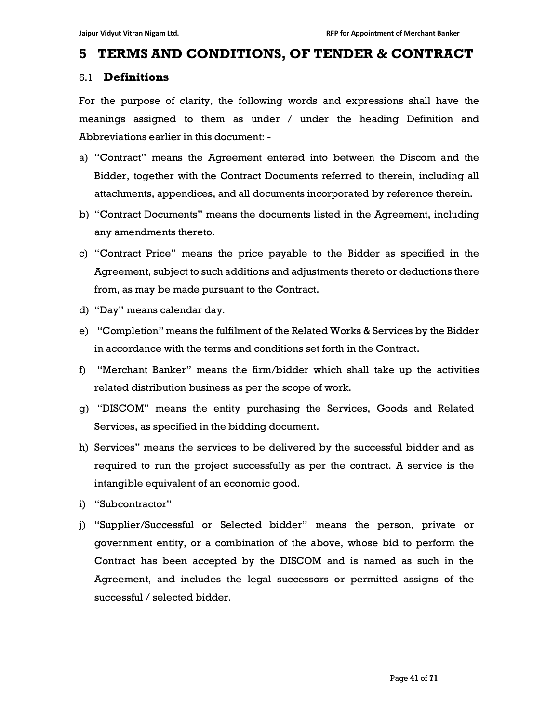# 5 TERMS AND CONDITIONS, OF TENDER & CONTRACT

## 5.1 Definitions

For the purpose of clarity, the following words and expressions shall have the meanings assigned to them as under / under the heading Definition and Abbreviations earlier in this document: -

- a) "Contract" means the Agreement entered into between the Discom and the Bidder, together with the Contract Documents referred to therein, including all attachments, appendices, and all documents incorporated by reference therein.
- b) "Contract Documents" means the documents listed in the Agreement, including any amendments thereto.
- c) "Contract Price" means the price payable to the Bidder as specified in the Agreement, subject to such additions and adjustments thereto or deductions there from, as may be made pursuant to the Contract.
- d) "Day" means calendar day.
- e) "Completion" means the fulfilment of the Related Works & Services by the Bidder in accordance with the terms and conditions set forth in the Contract.
- f) "Merchant Banker" means the firm/bidder which shall take up the activities related distribution business as per the scope of work.
- g) "DISCOM" means the entity purchasing the Services, Goods and Related Services, as specified in the bidding document.
- h) Services" means the services to be delivered by the successful bidder and as required to run the project successfully as per the contract. A service is the intangible equivalent of an economic good.
- i) "Subcontractor"
- j) "Supplier/Successful or Selected bidder" means the person, private or government entity, or a combination of the above, whose bid to perform the Contract has been accepted by the DISCOM and is named as such in the Agreement, and includes the legal successors or permitted assigns of the successful / selected bidder.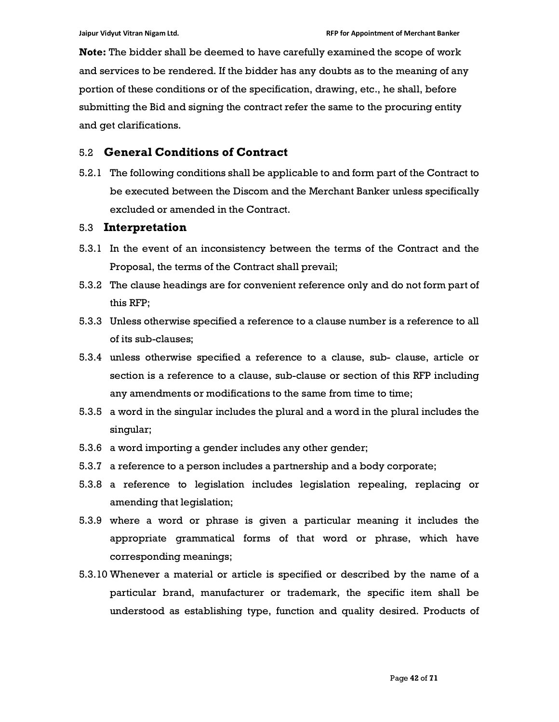Note: The bidder shall be deemed to have carefully examined the scope of work and services to be rendered. If the bidder has any doubts as to the meaning of any portion of these conditions or of the specification, drawing, etc., he shall, before submitting the Bid and signing the contract refer the same to the procuring entity and get clarifications.

#### 5.2 General Conditions of Contract

5.2.1 The following conditions shall be applicable to and form part of the Contract to be executed between the Discom and the Merchant Banker unless specifically excluded or amended in the Contract.

#### 5.3 Interpretation

- 5.3.1 In the event of an inconsistency between the terms of the Contract and the Proposal, the terms of the Contract shall prevail;
- 5.3.2 The clause headings are for convenient reference only and do not form part of this RFP;
- 5.3.3 Unless otherwise specified a reference to a clause number is a reference to all of its sub-clauses;
- 5.3.4 unless otherwise specified a reference to a clause, sub- clause, article or section is a reference to a clause, sub-clause or section of this RFP including any amendments or modifications to the same from time to time;
- 5.3.5 a word in the singular includes the plural and a word in the plural includes the singular;
- 5.3.6 a word importing a gender includes any other gender;
- 5.3.7 a reference to a person includes a partnership and a body corporate;
- 5.3.8 a reference to legislation includes legislation repealing, replacing or amending that legislation;
- 5.3.9 where a word or phrase is given a particular meaning it includes the appropriate grammatical forms of that word or phrase, which have corresponding meanings;
- 5.3.10 Whenever a material or article is specified or described by the name of a particular brand, manufacturer or trademark, the specific item shall be understood as establishing type, function and quality desired. Products of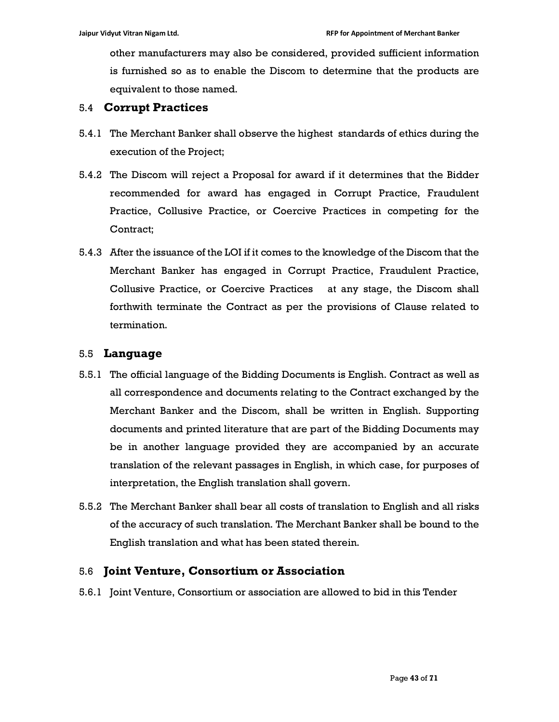other manufacturers may also be considered, provided sufficient information is furnished so as to enable the Discom to determine that the products are equivalent to those named.

## 5.4 Corrupt Practices

- 5.4.1 The Merchant Banker shall observe the highest standards of ethics during the execution of the Project;
- 5.4.2 The Discom will reject a Proposal for award if it determines that the Bidder recommended for award has engaged in Corrupt Practice, Fraudulent Practice, Collusive Practice, or Coercive Practices in competing for the Contract;
- 5.4.3 After the issuance of the LOI if it comes to the knowledge of the Discom that the Merchant Banker has engaged in Corrupt Practice, Fraudulent Practice, Collusive Practice, or Coercive Practices at any stage, the Discom shall forthwith terminate the Contract as per the provisions of Clause related to termination.

## 5.5 Language

- 5.5.1 The official language of the Bidding Documents is English. Contract as well as all correspondence and documents relating to the Contract exchanged by the Merchant Banker and the Discom, shall be written in English. Supporting documents and printed literature that are part of the Bidding Documents may be in another language provided they are accompanied by an accurate translation of the relevant passages in English, in which case, for purposes of interpretation, the English translation shall govern.
- 5.5.2 The Merchant Banker shall bear all costs of translation to English and all risks of the accuracy of such translation. The Merchant Banker shall be bound to the English translation and what has been stated therein.

# 5.6 Joint Venture, Consortium or Association

5.6.1 Joint Venture, Consortium or association are allowed to bid in this Tender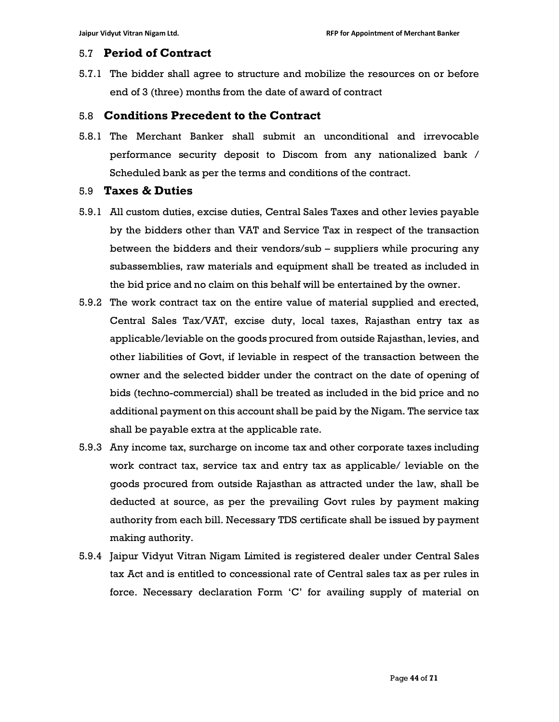## 5.7 Period of Contract

5.7.1 The bidder shall agree to structure and mobilize the resources on or before end of 3 (three) months from the date of award of contract

## 5.8 Conditions Precedent to the Contract

5.8.1 The Merchant Banker shall submit an unconditional and irrevocable performance security deposit to Discom from any nationalized bank / Scheduled bank as per the terms and conditions of the contract.

#### 5.9 Taxes & Duties

- 5.9.1 All custom duties, excise duties, Central Sales Taxes and other levies payable by the bidders other than VAT and Service Tax in respect of the transaction between the bidders and their vendors/sub – suppliers while procuring any subassemblies, raw materials and equipment shall be treated as included in the bid price and no claim on this behalf will be entertained by the owner.
- 5.9.2 The work contract tax on the entire value of material supplied and erected, Central Sales Tax/VAT, excise duty, local taxes, Rajasthan entry tax as applicable/leviable on the goods procured from outside Rajasthan, levies, and other liabilities of Govt, if leviable in respect of the transaction between the owner and the selected bidder under the contract on the date of opening of bids (techno-commercial) shall be treated as included in the bid price and no additional payment on this account shall be paid by the Nigam. The service tax shall be payable extra at the applicable rate.
- 5.9.3 Any income tax, surcharge on income tax and other corporate taxes including work contract tax, service tax and entry tax as applicable/ leviable on the goods procured from outside Rajasthan as attracted under the law, shall be deducted at source, as per the prevailing Govt rules by payment making authority from each bill. Necessary TDS certificate shall be issued by payment making authority.
- 5.9.4 Jaipur Vidyut Vitran Nigam Limited is registered dealer under Central Sales tax Act and is entitled to concessional rate of Central sales tax as per rules in force. Necessary declaration Form 'C' for availing supply of material on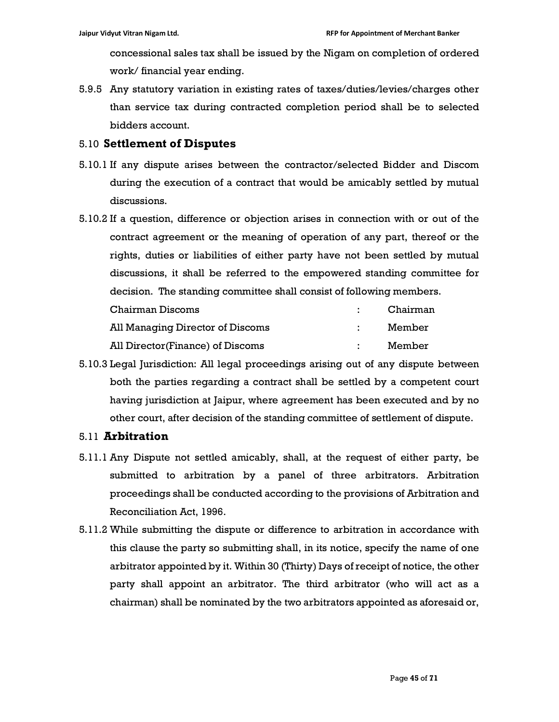concessional sales tax shall be issued by the Nigam on completion of ordered work/ financial year ending.

5.9.5 Any statutory variation in existing rates of taxes/duties/levies/charges other than service tax during contracted completion period shall be to selected bidders account.

#### 5.10 Settlement of Disputes

- 5.10.1 If any dispute arises between the contractor/selected Bidder and Discom during the execution of a contract that would be amicably settled by mutual discussions.
- 5.10.2 If a question, difference or objection arises in connection with or out of the contract agreement or the meaning of operation of any part, thereof or the rights, duties or liabilities of either party have not been settled by mutual discussions, it shall be referred to the empowered standing committee for decision. The standing committee shall consist of following members.

| Chairman Discoms                 | Chairman |
|----------------------------------|----------|
| All Managing Director of Discoms | Member   |
| All Director(Finance) of Discoms | Member   |

5.10.3 Legal Jurisdiction: All legal proceedings arising out of any dispute between both the parties regarding a contract shall be settled by a competent court having jurisdiction at Jaipur, where agreement has been executed and by no other court, after decision of the standing committee of settlement of dispute.

#### 5.11 Arbitration

- 5.11.1 Any Dispute not settled amicably, shall, at the request of either party, be submitted to arbitration by a panel of three arbitrators. Arbitration proceedings shall be conducted according to the provisions of Arbitration and Reconciliation Act, 1996.
- 5.11.2 While submitting the dispute or difference to arbitration in accordance with this clause the party so submitting shall, in its notice, specify the name of one arbitrator appointed by it. Within 30 (Thirty) Days of receipt of notice, the other party shall appoint an arbitrator. The third arbitrator (who will act as a chairman) shall be nominated by the two arbitrators appointed as aforesaid or,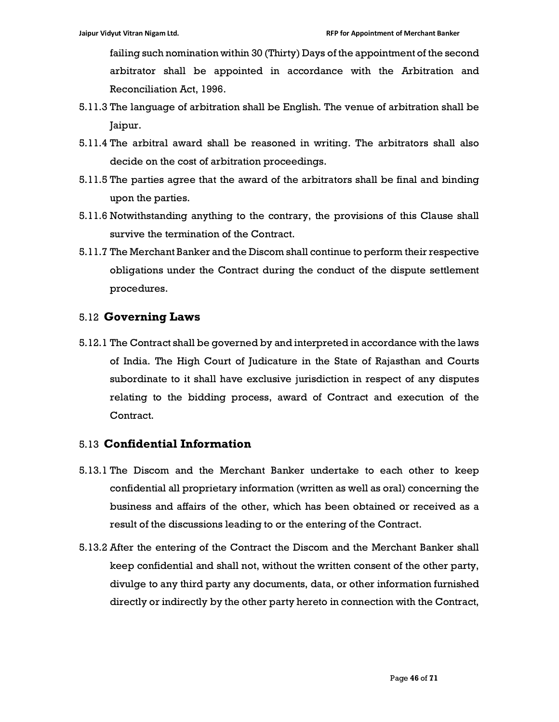failing such nomination within 30 (Thirty) Days of the appointment of the second arbitrator shall be appointed in accordance with the Arbitration and Reconciliation Act, 1996.

- 5.11.3 The language of arbitration shall be English. The venue of arbitration shall be Jaipur.
- 5.11.4 The arbitral award shall be reasoned in writing. The arbitrators shall also decide on the cost of arbitration proceedings.
- 5.11.5 The parties agree that the award of the arbitrators shall be final and binding upon the parties.
- 5.11.6 Notwithstanding anything to the contrary, the provisions of this Clause shall survive the termination of the Contract.
- 5.11.7 The Merchant Banker and the Discom shall continue to perform their respective obligations under the Contract during the conduct of the dispute settlement procedures.

## 5.12 Governing Laws

5.12.1 The Contract shall be governed by and interpreted in accordance with the laws of India. The High Court of Judicature in the State of Rajasthan and Courts subordinate to it shall have exclusive jurisdiction in respect of any disputes relating to the bidding process, award of Contract and execution of the Contract.

# 5.13 Confidential Information

- 5.13.1 The Discom and the Merchant Banker undertake to each other to keep confidential all proprietary information (written as well as oral) concerning the business and affairs of the other, which has been obtained or received as a result of the discussions leading to or the entering of the Contract.
- 5.13.2 After the entering of the Contract the Discom and the Merchant Banker shall keep confidential and shall not, without the written consent of the other party, divulge to any third party any documents, data, or other information furnished directly or indirectly by the other party hereto in connection with the Contract,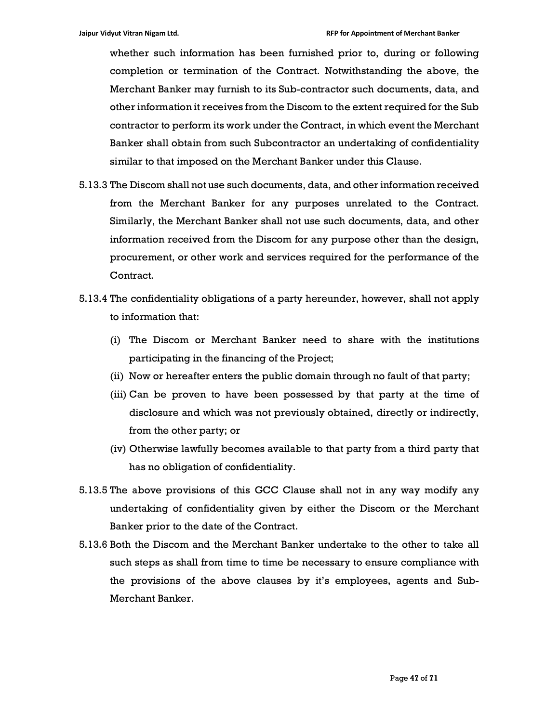whether such information has been furnished prior to, during or following completion or termination of the Contract. Notwithstanding the above, the Merchant Banker may furnish to its Sub-contractor such documents, data, and other information it receives from the Discom to the extent required for the Sub contractor to perform its work under the Contract, in which event the Merchant Banker shall obtain from such Subcontractor an undertaking of confidentiality similar to that imposed on the Merchant Banker under this Clause.

- 5.13.3 The Discom shall not use such documents, data, and other information received from the Merchant Banker for any purposes unrelated to the Contract. Similarly, the Merchant Banker shall not use such documents, data, and other information received from the Discom for any purpose other than the design, procurement, or other work and services required for the performance of the Contract.
- 5.13.4 The confidentiality obligations of a party hereunder, however, shall not apply to information that:
	- (i) The Discom or Merchant Banker need to share with the institutions participating in the financing of the Project;
	- (ii) Now or hereafter enters the public domain through no fault of that party;
	- (iii) Can be proven to have been possessed by that party at the time of disclosure and which was not previously obtained, directly or indirectly, from the other party; or
	- (iv) Otherwise lawfully becomes available to that party from a third party that has no obligation of confidentiality.
- 5.13.5 The above provisions of this GCC Clause shall not in any way modify any undertaking of confidentiality given by either the Discom or the Merchant Banker prior to the date of the Contract.
- 5.13.6 Both the Discom and the Merchant Banker undertake to the other to take all such steps as shall from time to time be necessary to ensure compliance with the provisions of the above clauses by it's employees, agents and Sub-Merchant Banker.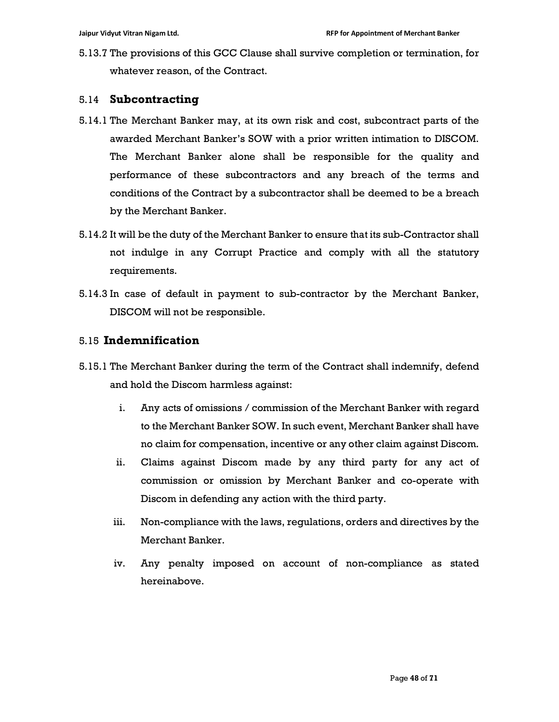5.13.7 The provisions of this GCC Clause shall survive completion or termination, for whatever reason, of the Contract.

# 5.14 Subcontracting

- 5.14.1 The Merchant Banker may, at its own risk and cost, subcontract parts of the awarded Merchant Banker's SOW with a prior written intimation to DISCOM. The Merchant Banker alone shall be responsible for the quality and performance of these subcontractors and any breach of the terms and conditions of the Contract by a subcontractor shall be deemed to be a breach by the Merchant Banker.
- 5.14.2 It will be the duty of the Merchant Banker to ensure that its sub-Contractor shall not indulge in any Corrupt Practice and comply with all the statutory requirements.
- 5.14.3 In case of default in payment to sub-contractor by the Merchant Banker, DISCOM will not be responsible.

# 5.15 Indemnification

- 5.15.1 The Merchant Banker during the term of the Contract shall indemnify, defend and hold the Discom harmless against:
	- i. Any acts of omissions / commission of the Merchant Banker with regard to the Merchant Banker SOW. In such event, Merchant Banker shall have no claim for compensation, incentive or any other claim against Discom.
	- ii. Claims against Discom made by any third party for any act of commission or omission by Merchant Banker and co-operate with Discom in defending any action with the third party.
	- iii. Non-compliance with the laws, regulations, orders and directives by the Merchant Banker.
	- iv. Any penalty imposed on account of non-compliance as stated hereinabove.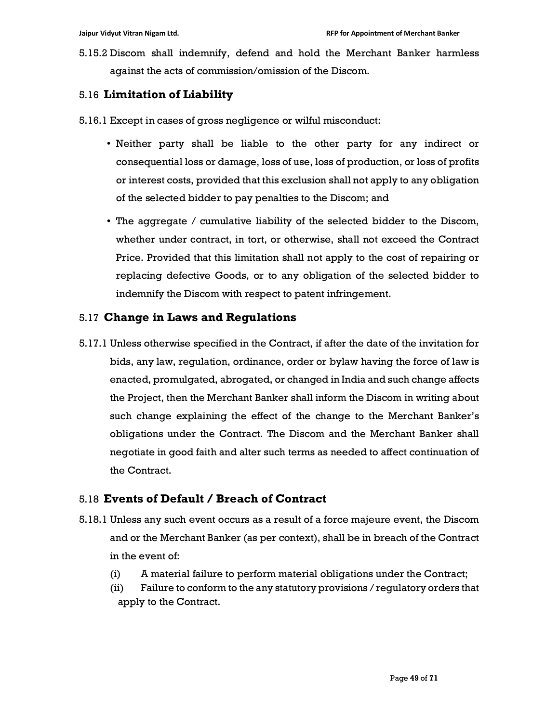5.15.2 Discom shall indemnify, defend and hold the Merchant Banker harmless against the acts of commission/omission of the Discom.

# 5.16 Limitation of Liability

- 5.16.1 Except in cases of gross negligence or wilful misconduct:
	- Neither party shall be liable to the other party for any indirect or consequential loss or damage, loss of use, loss of production, or loss of profits or interest costs, provided that this exclusion shall not apply to any obligation of the selected bidder to pay penalties to the Discom; and
	- The aggregate / cumulative liability of the selected bidder to the Discom, whether under contract, in tort, or otherwise, shall not exceed the Contract Price. Provided that this limitation shall not apply to the cost of repairing or replacing defective Goods, or to any obligation of the selected bidder to indemnify the Discom with respect to patent infringement.

# 5.17 Change in Laws and Regulations

5.17.1 Unless otherwise specified in the Contract, if after the date of the invitation for bids, any law, regulation, ordinance, order or bylaw having the force of law is enacted, promulgated, abrogated, or changed in India and such change affects the Project, then the Merchant Banker shall inform the Discom in writing about such change explaining the effect of the change to the Merchant Banker's obligations under the Contract. The Discom and the Merchant Banker shall negotiate in good faith and alter such terms as needed to affect continuation of the Contract.

# 5.18 Events of Default / Breach of Contract

- 5.18.1 Unless any such event occurs as a result of a force majeure event, the Discom and or the Merchant Banker (as per context), shall be in breach of the Contract in the event of:
	- (i) A material failure to perform material obligations under the Contract;
	- (ii) Failure to conform to the any statutory provisions / regulatory orders that apply to the Contract.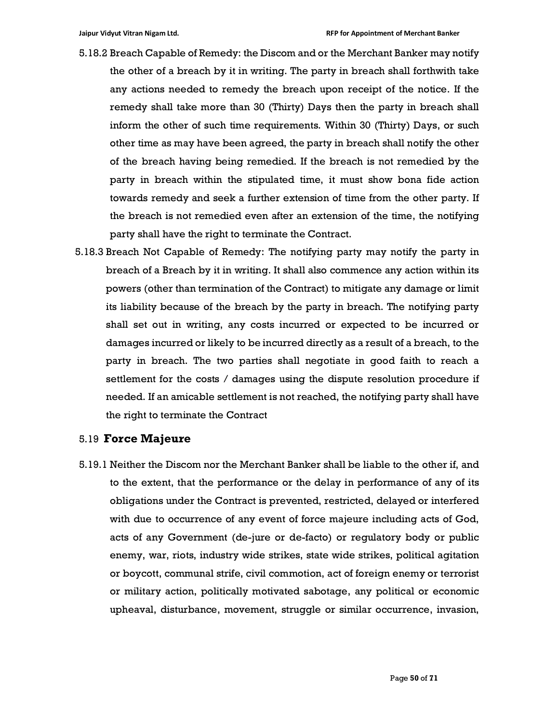- 5.18.2 Breach Capable of Remedy: the Discom and or the Merchant Banker may notify the other of a breach by it in writing. The party in breach shall forthwith take any actions needed to remedy the breach upon receipt of the notice. If the remedy shall take more than 30 (Thirty) Days then the party in breach shall inform the other of such time requirements. Within 30 (Thirty) Days, or such other time as may have been agreed, the party in breach shall notify the other of the breach having being remedied. If the breach is not remedied by the party in breach within the stipulated time, it must show bona fide action towards remedy and seek a further extension of time from the other party. If the breach is not remedied even after an extension of the time, the notifying party shall have the right to terminate the Contract.
- 5.18.3 Breach Not Capable of Remedy: The notifying party may notify the party in breach of a Breach by it in writing. It shall also commence any action within its powers (other than termination of the Contract) to mitigate any damage or limit its liability because of the breach by the party in breach. The notifying party shall set out in writing, any costs incurred or expected to be incurred or damages incurred or likely to be incurred directly as a result of a breach, to the party in breach. The two parties shall negotiate in good faith to reach a settlement for the costs / damages using the dispute resolution procedure if needed. If an amicable settlement is not reached, the notifying party shall have the right to terminate the Contract

#### 5.19 Force Majeure

5.19.1 Neither the Discom nor the Merchant Banker shall be liable to the other if, and to the extent, that the performance or the delay in performance of any of its obligations under the Contract is prevented, restricted, delayed or interfered with due to occurrence of any event of force majeure including acts of God, acts of any Government (de-jure or de-facto) or regulatory body or public enemy, war, riots, industry wide strikes, state wide strikes, political agitation or boycott, communal strife, civil commotion, act of foreign enemy or terrorist or military action, politically motivated sabotage, any political or economic upheaval, disturbance, movement, struggle or similar occurrence, invasion,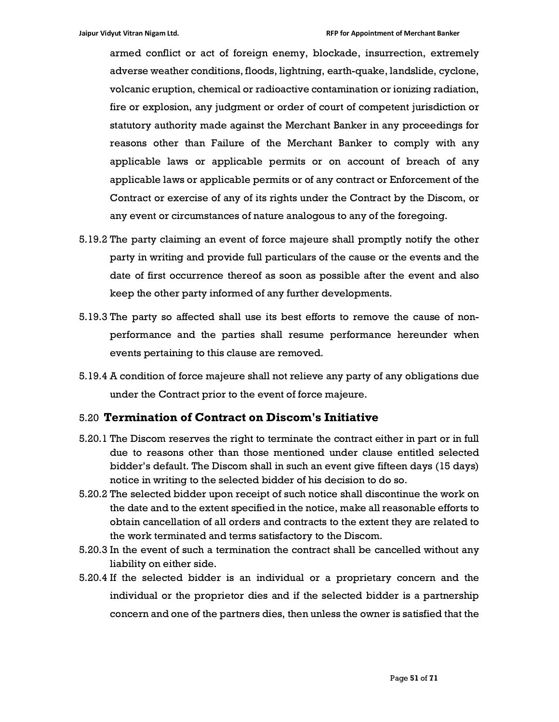armed conflict or act of foreign enemy, blockade, insurrection, extremely adverse weather conditions, floods, lightning, earth-quake, landslide, cyclone, volcanic eruption, chemical or radioactive contamination or ionizing radiation, fire or explosion, any judgment or order of court of competent jurisdiction or statutory authority made against the Merchant Banker in any proceedings for reasons other than Failure of the Merchant Banker to comply with any applicable laws or applicable permits or on account of breach of any applicable laws or applicable permits or of any contract or Enforcement of the Contract or exercise of any of its rights under the Contract by the Discom, or any event or circumstances of nature analogous to any of the foregoing.

- 5.19.2 The party claiming an event of force majeure shall promptly notify the other party in writing and provide full particulars of the cause or the events and the date of first occurrence thereof as soon as possible after the event and also keep the other party informed of any further developments.
- 5.19.3 The party so affected shall use its best efforts to remove the cause of nonperformance and the parties shall resume performance hereunder when events pertaining to this clause are removed.
- 5.19.4 A condition of force majeure shall not relieve any party of any obligations due under the Contract prior to the event of force majeure.

#### 5.20 Termination of Contract on Discom's Initiative

- 5.20.1 The Discom reserves the right to terminate the contract either in part or in full due to reasons other than those mentioned under clause entitled selected bidder's default. The Discom shall in such an event give fifteen days (15 days) notice in writing to the selected bidder of his decision to do so.
- 5.20.2 The selected bidder upon receipt of such notice shall discontinue the work on the date and to the extent specified in the notice, make all reasonable efforts to obtain cancellation of all orders and contracts to the extent they are related to the work terminated and terms satisfactory to the Discom.
- 5.20.3 In the event of such a termination the contract shall be cancelled without any liability on either side.
- 5.20.4 If the selected bidder is an individual or a proprietary concern and the individual or the proprietor dies and if the selected bidder is a partnership concern and one of the partners dies, then unless the owner is satisfied that the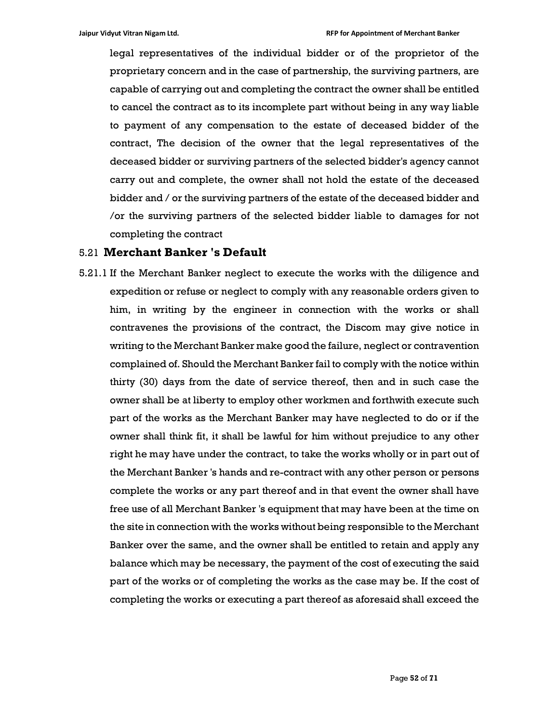legal representatives of the individual bidder or of the proprietor of the proprietary concern and in the case of partnership, the surviving partners, are capable of carrying out and completing the contract the owner shall be entitled to cancel the contract as to its incomplete part without being in any way liable to payment of any compensation to the estate of deceased bidder of the contract, The decision of the owner that the legal representatives of the deceased bidder or surviving partners of the selected bidder's agency cannot carry out and complete, the owner shall not hold the estate of the deceased bidder and / or the surviving partners of the estate of the deceased bidder and /or the surviving partners of the selected bidder liable to damages for not completing the contract

# 5.21 Merchant Banker 's Default

5.21.1 If the Merchant Banker neglect to execute the works with the diligence and expedition or refuse or neglect to comply with any reasonable orders given to him, in writing by the engineer in connection with the works or shall contravenes the provisions of the contract, the Discom may give notice in writing to the Merchant Banker make good the failure, neglect or contravention complained of. Should the Merchant Banker fail to comply with the notice within thirty (30) days from the date of service thereof, then and in such case the owner shall be at liberty to employ other workmen and forthwith execute such part of the works as the Merchant Banker may have neglected to do or if the owner shall think fit, it shall be lawful for him without prejudice to any other right he may have under the contract, to take the works wholly or in part out of the Merchant Banker 's hands and re-contract with any other person or persons complete the works or any part thereof and in that event the owner shall have free use of all Merchant Banker 's equipment that may have been at the time on the site in connection with the works without being responsible to the Merchant Banker over the same, and the owner shall be entitled to retain and apply any balance which may be necessary, the payment of the cost of executing the said part of the works or of completing the works as the case may be. If the cost of completing the works or executing a part thereof as aforesaid shall exceed the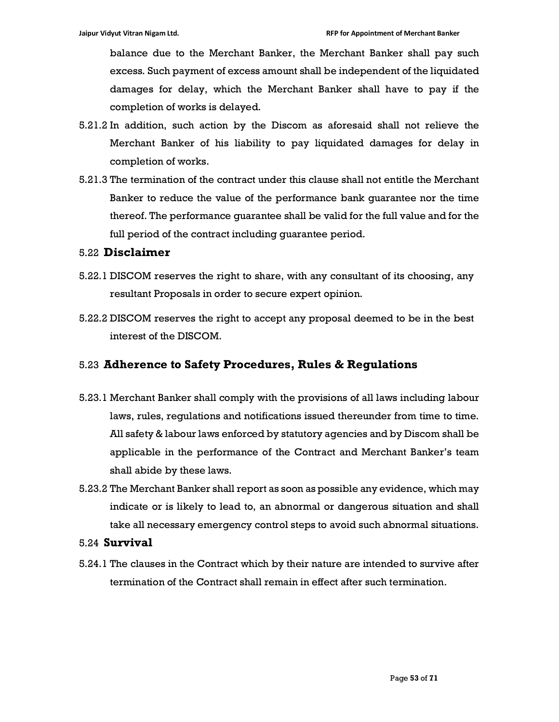balance due to the Merchant Banker, the Merchant Banker shall pay such excess. Such payment of excess amount shall be independent of the liquidated damages for delay, which the Merchant Banker shall have to pay if the completion of works is delayed.

- 5.21.2 In addition, such action by the Discom as aforesaid shall not relieve the Merchant Banker of his liability to pay liquidated damages for delay in completion of works.
- 5.21.3 The termination of the contract under this clause shall not entitle the Merchant Banker to reduce the value of the performance bank guarantee nor the time thereof. The performance guarantee shall be valid for the full value and for the full period of the contract including guarantee period.

#### 5.22 Disclaimer

- 5.22.1 DISCOM reserves the right to share, with any consultant of its choosing, any resultant Proposals in order to secure expert opinion.
- 5.22.2 DISCOM reserves the right to accept any proposal deemed to be in the best interest of the DISCOM.

# 5.23 Adherence to Safety Procedures, Rules & Regulations

- 5.23.1 Merchant Banker shall comply with the provisions of all laws including labour laws, rules, regulations and notifications issued thereunder from time to time. All safety & labour laws enforced by statutory agencies and by Discom shall be applicable in the performance of the Contract and Merchant Banker's team shall abide by these laws.
- 5.23.2 The Merchant Banker shall report as soon as possible any evidence, which may indicate or is likely to lead to, an abnormal or dangerous situation and shall take all necessary emergency control steps to avoid such abnormal situations.

#### 5.24 Survival

5.24.1 The clauses in the Contract which by their nature are intended to survive after termination of the Contract shall remain in effect after such termination.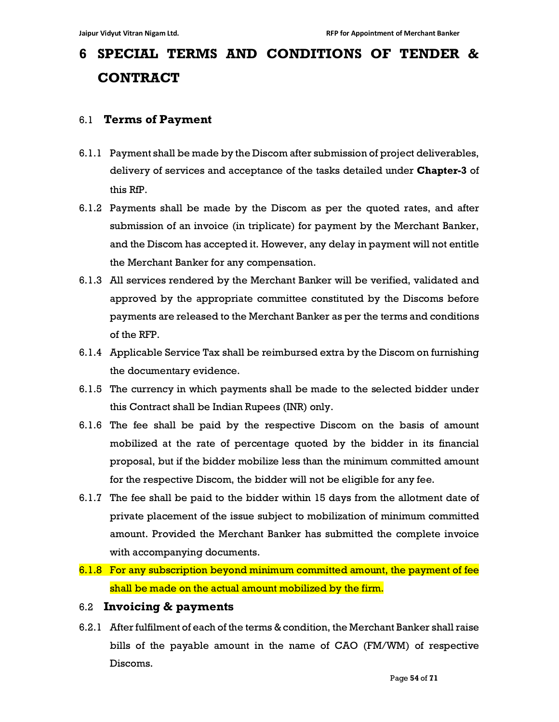# 6 SPECIAL TERMS AND CONDITIONS OF TENDER & **CONTRACT**

# 6.1 Terms of Payment

- 6.1.1 Payment shall be made by the Discom after submission of project deliverables, delivery of services and acceptance of the tasks detailed under **Chapter-3** of this RfP.
- 6.1.2 Payments shall be made by the Discom as per the quoted rates, and after submission of an invoice (in triplicate) for payment by the Merchant Banker, and the Discom has accepted it. However, any delay in payment will not entitle the Merchant Banker for any compensation.
- 6.1.3 All services rendered by the Merchant Banker will be verified, validated and approved by the appropriate committee constituted by the Discoms before payments are released to the Merchant Banker as per the terms and conditions of the RFP.
- 6.1.4 Applicable Service Tax shall be reimbursed extra by the Discom on furnishing the documentary evidence.
- 6.1.5 The currency in which payments shall be made to the selected bidder under this Contract shall be Indian Rupees (INR) only.
- 6.1.6 The fee shall be paid by the respective Discom on the basis of amount mobilized at the rate of percentage quoted by the bidder in its financial proposal, but if the bidder mobilize less than the minimum committed amount for the respective Discom, the bidder will not be eligible for any fee.
- 6.1.7 The fee shall be paid to the bidder within 15 days from the allotment date of private placement of the issue subject to mobilization of minimum committed amount. Provided the Merchant Banker has submitted the complete invoice with accompanying documents.
- 6.1.8 For any subscription beyond minimum committed amount, the payment of fee shall be made on the actual amount mobilized by the firm.

# 6.2 Invoicing & payments

6.2.1 After fulfilment of each of the terms & condition, the Merchant Banker shall raise bills of the payable amount in the name of CAO (FM/WM) of respective Discoms.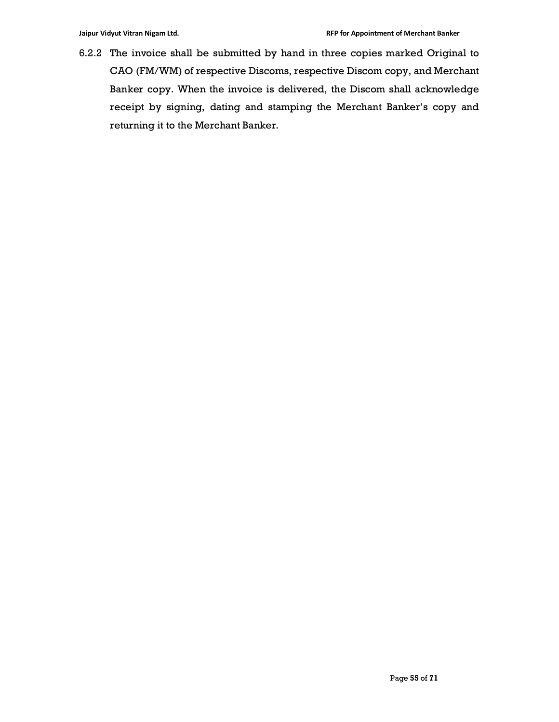6.2.2 The invoice shall be submitted by hand in three copies marked Original to CAO (FM/WM) of respective Discoms, respective Discom copy, and Merchant Banker copy. When the invoice is delivered, the Discom shall acknowledge receipt by signing, dating and stamping the Merchant Banker's copy and returning it to the Merchant Banker.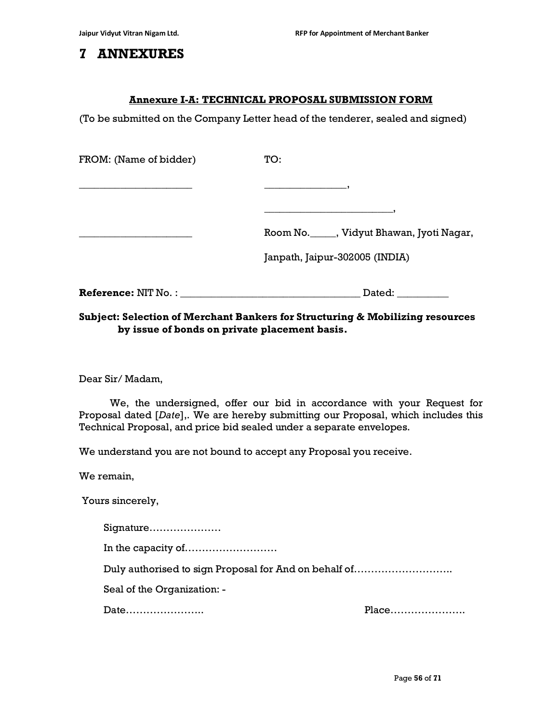# 7 ANNEXURES

#### Annexure I-A: TECHNICAL PROPOSAL SUBMISSION FORM

(To be submitted on the Company Letter head of the tenderer, sealed and signed)

| FROM: (Name of bidder) | TO:                                          |
|------------------------|----------------------------------------------|
|                        |                                              |
|                        |                                              |
|                        | Room No. ______, Vidyut Bhawan, Jyoti Nagar, |
|                        | Janpath, Jaipur-302005 (INDIA)               |
|                        | Dated: __________                            |

#### Subject: Selection of Merchant Bankers for Structuring & Mobilizing resources by issue of bonds on private placement basis.

Dear Sir/ Madam,

 We, the undersigned, offer our bid in accordance with your Request for Proposal dated [Date],. We are hereby submitting our Proposal, which includes this Technical Proposal, and price bid sealed under a separate envelopes.

We understand you are not bound to accept any Proposal you receive.

We remain,

Yours sincerely,

Signature…………………

In the capacity of………………………

Duly authorised to sign Proposal for And on behalf of………………………..

Seal of the Organization: -

Date………………….. Place………………….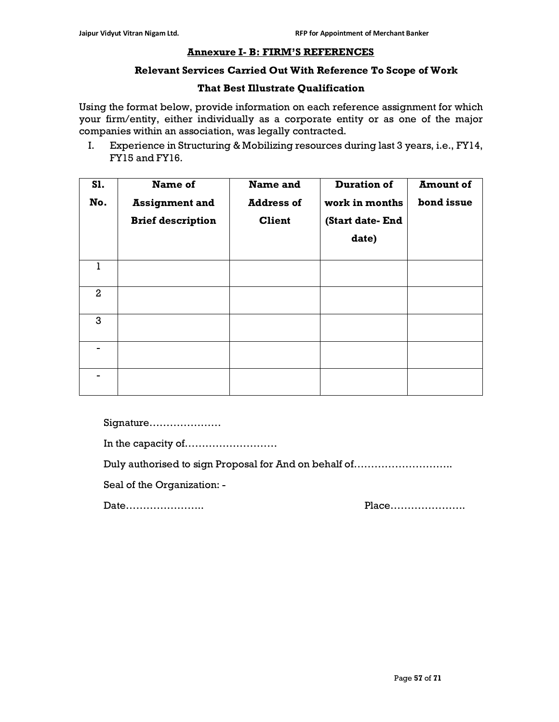#### Annexure I- B: FIRM'S REFERENCES

#### Relevant Services Carried Out With Reference To Scope of Work

#### That Best Illustrate Qualification

Using the format below, provide information on each reference assignment for which your firm/entity, either individually as a corporate entity or as one of the major companies within an association, was legally contracted.

I. Experience in Structuring & Mobilizing resources during last 3 years, i.e., FY14, FY15 and FY16.

| S1.<br>No.     | Name of<br><b>Assignment and</b><br><b>Brief description</b> | Name and<br><b>Address of</b><br><b>Client</b> | <b>Duration of</b><br>work in months<br>(Start date-End<br>date) | <b>Amount of</b><br>bond issue |
|----------------|--------------------------------------------------------------|------------------------------------------------|------------------------------------------------------------------|--------------------------------|
| L              |                                                              |                                                |                                                                  |                                |
| $\overline{2}$ |                                                              |                                                |                                                                  |                                |
| 3              |                                                              |                                                |                                                                  |                                |
|                |                                                              |                                                |                                                                  |                                |
|                |                                                              |                                                |                                                                  |                                |

Signature…………………

In the capacity of………………………

Duly authorised to sign Proposal for And on behalf of………………………..

Seal of the Organization: -

Date………………….. Place………………….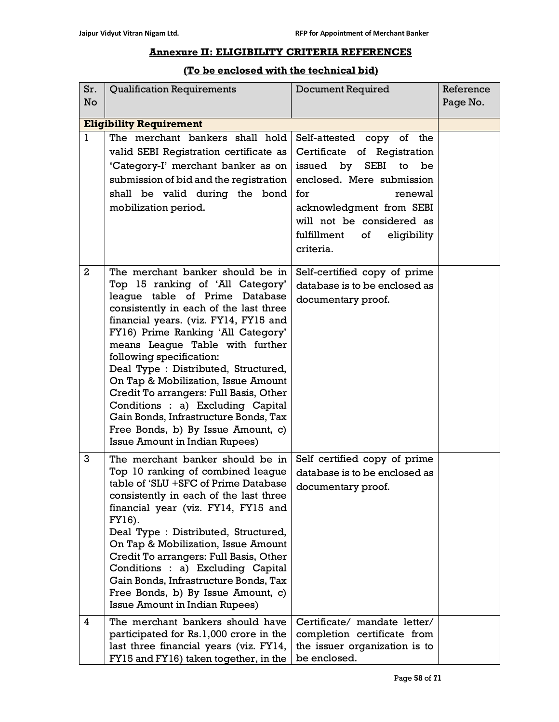# Annexure II: ELIGIBILITY CRITERIA REFERENCES

#### (To be enclosed with the technical bid)

| Sr.            | <b>Qualification Requirements</b>                                                                                                                                                                                                                                                                                                                                                                                                                                                                                                                                                   | <b>Document Required</b>                                                                                                                                                                                                                                           | Reference |
|----------------|-------------------------------------------------------------------------------------------------------------------------------------------------------------------------------------------------------------------------------------------------------------------------------------------------------------------------------------------------------------------------------------------------------------------------------------------------------------------------------------------------------------------------------------------------------------------------------------|--------------------------------------------------------------------------------------------------------------------------------------------------------------------------------------------------------------------------------------------------------------------|-----------|
| <b>No</b>      |                                                                                                                                                                                                                                                                                                                                                                                                                                                                                                                                                                                     |                                                                                                                                                                                                                                                                    | Page No.  |
|                | <b>Eligibility Requirement</b>                                                                                                                                                                                                                                                                                                                                                                                                                                                                                                                                                      |                                                                                                                                                                                                                                                                    |           |
| $\mathbf{1}$   | The merchant bankers shall hold<br>valid SEBI Registration certificate as<br>'Category-I' merchant banker as on<br>submission of bid and the registration  <br>shall be valid during the bond<br>mobilization period.                                                                                                                                                                                                                                                                                                                                                               | Self-attested<br>the<br>copy of<br>Certificate of<br>Registration<br><b>SEBI</b><br>issued by<br>to<br>be<br>enclosed. Mere submission<br>for<br>renewal<br>acknowledgment from SEBI<br>will not be considered as<br>fulfillment<br>of<br>eligibility<br>criteria. |           |
| $\overline{2}$ | The merchant banker should be in<br>Top 15 ranking of 'All Category'<br>league table of Prime Database<br>consistently in each of the last three<br>financial years. (viz. FY14, FY15 and<br>FY16) Prime Ranking 'All Category'<br>means League Table with further<br>following specification:<br>Deal Type: Distributed, Structured,<br>On Tap & Mobilization, Issue Amount<br>Credit To arrangers: Full Basis, Other<br>Conditions : a) Excluding Capital<br>Gain Bonds, Infrastructure Bonds, Tax<br>Free Bonds, b) By Issue Amount, c)<br><b>Issue Amount in Indian Rupees)</b> | Self-certified copy of prime<br>database is to be enclosed as<br>documentary proof.                                                                                                                                                                                |           |
| 3              | The merchant banker should be in<br>Top 10 ranking of combined league<br>table of 'SLU +SFC of Prime Database<br>consistently in each of the last three<br>financial year (viz. FY14, FY15 and<br>FY16).<br>Deal Type : Distributed, Structured,<br>On Tap & Mobilization, Issue Amount<br>Credit To arrangers: Full Basis, Other<br>Conditions : a) Excluding Capital<br>Gain Bonds, Infrastructure Bonds, Tax<br>Free Bonds, b) By Issue Amount, c)<br><b>Issue Amount in Indian Rupees)</b>                                                                                      | Self certified copy of prime<br>database is to be enclosed as<br>documentary proof.                                                                                                                                                                                |           |
| 4              | The merchant bankers should have<br>participated for Rs.1,000 crore in the<br>last three financial years (viz. FY14,<br>FY15 and FY16) taken together, in the                                                                                                                                                                                                                                                                                                                                                                                                                       | Certificate/ mandate letter/<br>completion certificate from<br>the issuer organization is to<br>be enclosed.                                                                                                                                                       |           |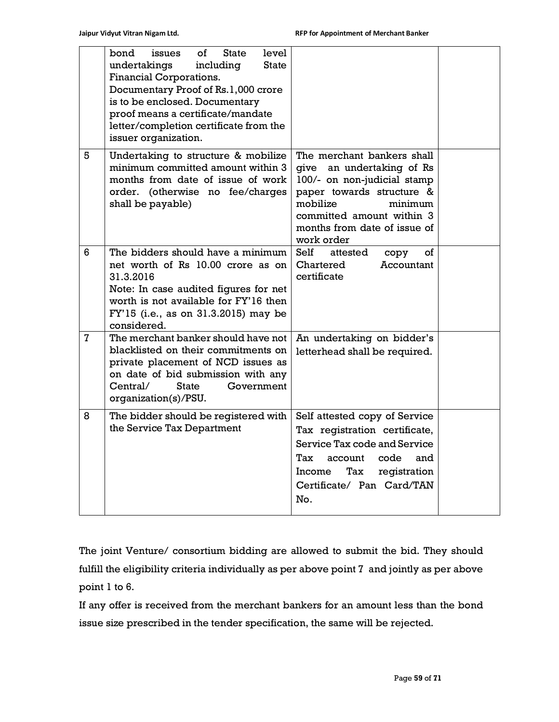|                | bond<br>οf<br>level<br>issues<br>State<br><b>State</b><br>undertakings<br>including<br>Financial Corporations.<br>Documentary Proof of Rs.1,000 crore<br>is to be enclosed. Documentary<br>proof means a certificate/mandate<br>letter/completion certificate from the<br>issuer organization. |                                                                                                                                                                                                                       |  |
|----------------|------------------------------------------------------------------------------------------------------------------------------------------------------------------------------------------------------------------------------------------------------------------------------------------------|-----------------------------------------------------------------------------------------------------------------------------------------------------------------------------------------------------------------------|--|
| 5              | Undertaking to structure & mobilize<br>minimum committed amount within 3<br>months from date of issue of work<br>order. (otherwise no fee/charges<br>shall be payable)                                                                                                                         | The merchant bankers shall<br>give an undertaking of Rs<br>100/- on non-judicial stamp<br>paper towards structure &<br>mobilize<br>minimum<br>committed amount within 3<br>months from date of issue of<br>work order |  |
| 6              | The bidders should have a minimum<br>net worth of Rs 10.00 crore as on<br>31.3.2016<br>Note: In case audited figures for net<br>worth is not available for FY'16 then<br>FY'15 (i.e., as on 31.3.2015) may be<br>considered.                                                                   | Self<br>attested<br>of<br>copy<br>Chartered<br>Accountant<br>certificate                                                                                                                                              |  |
| $\overline{7}$ | The merchant banker should have not<br>blacklisted on their commitments on<br>private placement of NCD issues as<br>on date of bid submission with any<br>Government<br>Central/<br><b>State</b><br>organization(s)/PSU.                                                                       | An undertaking on bidder's<br>letterhead shall be required.                                                                                                                                                           |  |
| 8              | The bidder should be registered with<br>the Service Tax Department                                                                                                                                                                                                                             | Self attested copy of Service<br>Tax registration certificate,<br>Service Tax code and Service<br>Tax<br>code<br>account<br>and<br>Income<br>Tax<br>registration<br>Certificate/ Pan Card/TAN<br>No.                  |  |

The joint Venture/ consortium bidding are allowed to submit the bid. They should fulfill the eligibility criteria individually as per above point 7 and jointly as per above point 1 to 6.

If any offer is received from the merchant bankers for an amount less than the bond issue size prescribed in the tender specification, the same will be rejected.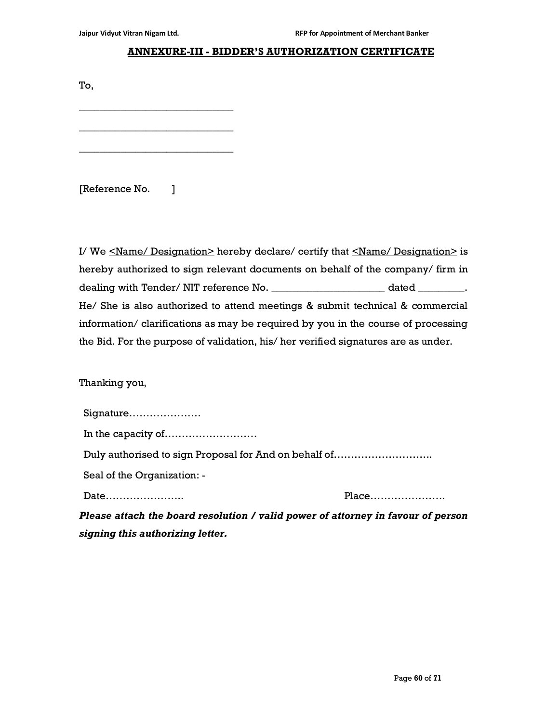\_\_\_\_\_\_\_\_\_\_\_\_\_\_\_\_\_\_\_\_\_\_\_\_\_\_\_\_\_\_

\_\_\_\_\_\_\_\_\_\_\_\_\_\_\_\_\_\_\_\_\_\_\_\_\_\_\_\_\_\_

\_\_\_\_\_\_\_\_\_\_\_\_\_\_\_\_\_\_\_\_\_\_\_\_\_\_\_\_\_\_

#### ANNEXURE-III - BIDDER'S AUTHORIZATION CERTIFICATE

To,

[Reference No. ]

I/ We <Name/ Designation> hereby declare/ certify that <Name/ Designation> is hereby authorized to sign relevant documents on behalf of the company/ firm in dealing with Tender/ NIT reference No. \_\_\_\_\_\_\_\_\_\_\_\_\_\_\_\_\_\_\_\_\_\_\_\_\_\_\_\_\_\_\_ dated \_\_\_\_\_\_\_\_\_\_. He/ She is also authorized to attend meetings & submit technical & commercial information/ clarifications as may be required by you in the course of processing the Bid. For the purpose of validation, his/ her verified signatures are as under.

Thanking you,

| Signature                                             |  |  |
|-------------------------------------------------------|--|--|
|                                                       |  |  |
| Duly authorised to sign Proposal for And on behalf of |  |  |
| Seal of the Organization: -                           |  |  |
|                                                       |  |  |

Please attach the board resolution / valid power of attorney in favour of person signing this authorizing letter.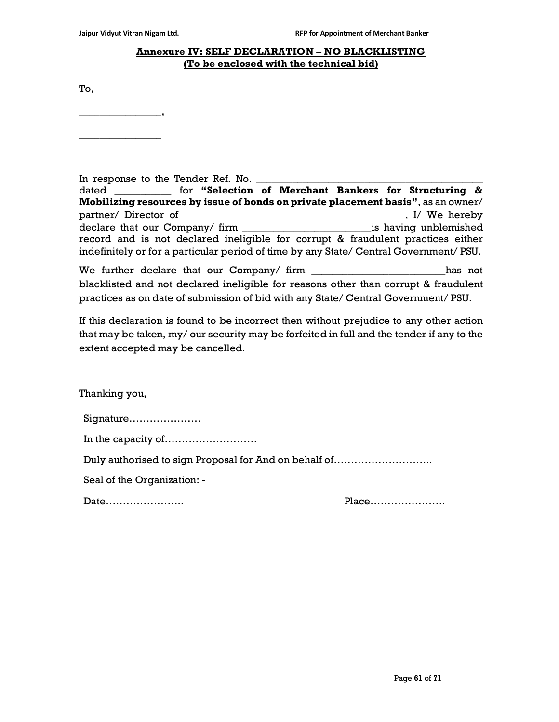#### Annexure IV: SELF DECLARATION – NO BLACKLISTING (To be enclosed with the technical bid)

To,

\_\_\_\_\_\_\_\_\_\_\_\_\_\_\_\_,  $\overline{\phantom{a}}$  , where  $\overline{\phantom{a}}$ 

| In response to the Tender Ref. No.                                                       |  |
|------------------------------------------------------------------------------------------|--|
|                                                                                          |  |
| <b>Mobilizing resources by issue of bonds on private placement basis"</b> , as an owner/ |  |
|                                                                                          |  |
|                                                                                          |  |
| record and is not declared ineligible for corrupt & fraudulent practices either          |  |
| indefinitely or for a particular period of time by any State/ Central Government/ PSU.   |  |
|                                                                                          |  |

We further declare that our Company/ firm \_\_\_\_\_\_\_\_\_\_\_\_\_\_\_\_\_\_\_\_\_\_\_\_\_\_\_\_\_has not blacklisted and not declared ineligible for reasons other than corrupt & fraudulent practices as on date of submission of bid with any State/ Central Government/ PSU.

If this declaration is found to be incorrect then without prejudice to any other action that may be taken, my/ our security may be forfeited in full and the tender if any to the extent accepted may be cancelled.

Thanking you,

| Duly authorised to sign Proposal for And on behalf of |  |
|-------------------------------------------------------|--|
| Seal of the Organization: -                           |  |
| Date                                                  |  |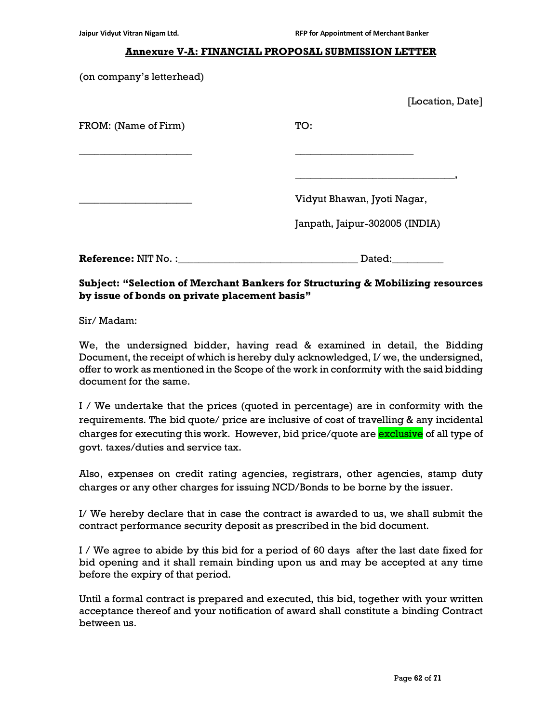#### Annexure V-A: FINANCIAL PROPOSAL SUBMISSION LETTER

(on company's letterhead)

|                            | [Location, Date]               |  |
|----------------------------|--------------------------------|--|
| FROM: (Name of Firm)       | TO:                            |  |
|                            |                                |  |
|                            | Vidyut Bhawan, Jyoti Nagar,    |  |
|                            | Janpath, Jaipur-302005 (INDIA) |  |
| <b>Reference: NIT No.:</b> | Dated:                         |  |

#### Subject: "Selection of Merchant Bankers for Structuring & Mobilizing resources by issue of bonds on private placement basis"

Sir/ Madam:

We, the undersigned bidder, having read & examined in detail, the Bidding Document, the receipt of which is hereby duly acknowledged, I/ we, the undersigned, offer to work as mentioned in the Scope of the work in conformity with the said bidding document for the same.

I / We undertake that the prices (quoted in percentage) are in conformity with the requirements. The bid quote/ price are inclusive of cost of travelling & any incidental charges for executing this work. However, bid price/quote are **exclusive** of all type of govt. taxes/duties and service tax.

Also, expenses on credit rating agencies, registrars, other agencies, stamp duty charges or any other charges for issuing NCD/Bonds to be borne by the issuer.

I/ We hereby declare that in case the contract is awarded to us, we shall submit the contract performance security deposit as prescribed in the bid document.

I / We agree to abide by this bid for a period of 60 days after the last date fixed for bid opening and it shall remain binding upon us and may be accepted at any time before the expiry of that period.

Until a formal contract is prepared and executed, this bid, together with your written acceptance thereof and your notification of award shall constitute a binding Contract between us.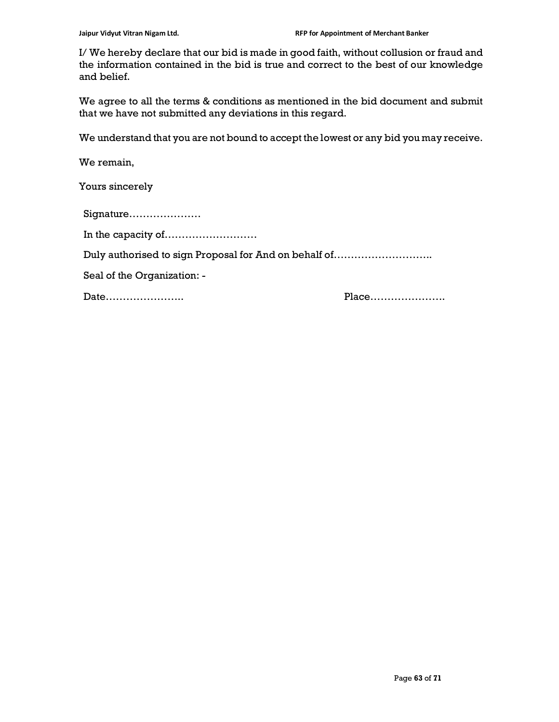I/ We hereby declare that our bid is made in good faith, without collusion or fraud and the information contained in the bid is true and correct to the best of our knowledge and belief.

We agree to all the terms & conditions as mentioned in the bid document and submit that we have not submitted any deviations in this regard.

We understand that you are not bound to accept the lowest or any bid you may receive.

We remain,

Yours sincerely

Signature………………… In the capacity of……………………… Duly authorised to sign Proposal for And on behalf of……………………….. Seal of the Organization: -

Date………………….. Place………………….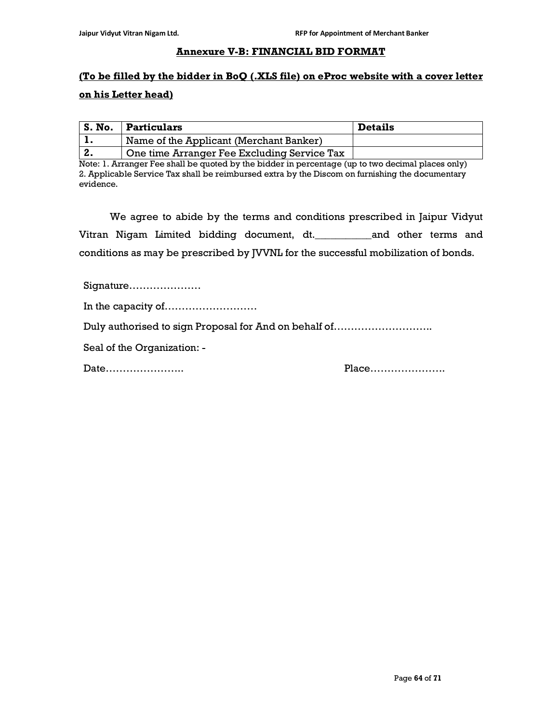#### Annexure V-B: FINANCIAL BID FORMAT

# (To be filled by the bidder in BoQ (.XLS file) on eProc website with a cover letter on his Letter head)

| S. No. | Particulars                                 | <b>Details</b> |
|--------|---------------------------------------------|----------------|
|        | Name of the Applicant (Merchant Banker)     |                |
|        | One time Arranger Fee Excluding Service Tax |                |

Note: 1. Arranger Fee shall be quoted by the bidder in percentage (up to two decimal places only) 2. Applicable Service Tax shall be reimbursed extra by the Discom on furnishing the documentary evidence.

We agree to abide by the terms and conditions prescribed in Jaipur Vidyut Vitran Nigam Limited bidding document, dt.\_\_\_\_\_\_\_\_\_\_\_and other terms and conditions as may be prescribed by JVVNL for the successful mobilization of bonds.

Signature…………………

In the capacity of………………………

Duly authorised to sign Proposal for And on behalf of………………………..

Seal of the Organization: -

Date………………….. Place………………….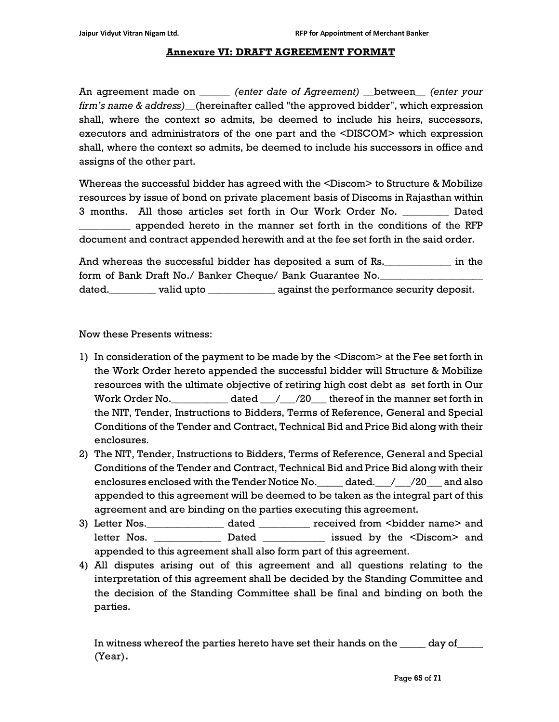#### Annexure VI: DRAFT AGREEMENT FORMAT

An agreement made on \_\_\_\_\_\_ (enter date of Agreement) \_\_between\_\_ (enter your firm's name & address) (hereinafter called "the approved bidder", which expression shall, where the context so admits, be deemed to include his heirs, successors, executors and administrators of the one part and the <DISCOM> which expression shall, where the context so admits, be deemed to include his successors in office and assigns of the other part.

Whereas the successful bidder has agreed with the <Discom> to Structure & Mobilize resources by issue of bond on private placement basis of Discoms in Rajasthan within 3 months. All those articles set forth in Our Work Order No. \_\_\_\_\_\_\_\_\_ Dated \_\_\_\_\_\_\_\_\_\_ appended hereto in the manner set forth in the conditions of the RFP document and contract appended herewith and at the fee set forth in the said order.

And whereas the successful bidder has deposited a sum of Rs.\_\_\_\_\_\_\_\_\_\_\_\_\_ in the form of Bank Draft No./ Banker Cheque/ Bank Guarantee No. dated.  $\begin{array}{c}\n\hline\n\text{dated} = \text{value} \\
\hline\n\end{array}$  valid upto  $\begin{array}{c}\n\hline\n\end{array}$  against the performance security deposit.

Now these Presents witness:

- 1) In consideration of the payment to be made by the <Discom> at the Fee set forth in the Work Order hereto appended the successful bidder will Structure & Mobilize resources with the ultimate objective of retiring high cost debt as set forth in Our Work Order No. \_\_\_\_\_\_\_\_\_\_\_ dated \_\_\_/\_\_\_/20\_\_\_ thereof in the manner set forth in the NIT, Tender, Instructions to Bidders, Terms of Reference, General and Special Conditions of the Tender and Contract, Technical Bid and Price Bid along with their enclosures.
- 2) The NIT, Tender, Instructions to Bidders, Terms of Reference, General and Special Conditions of the Tender and Contract, Technical Bid and Price Bid along with their enclosures enclosed with the Tender Notice No. dated. / / 20 and also appended to this agreement will be deemed to be taken as the integral part of this agreement and are binding on the parties executing this agreement.
- 3) Letter Nos.\_\_\_\_\_\_\_\_\_\_\_\_\_\_\_ dated \_\_\_\_\_\_\_\_\_\_ received from <bidder name> and letter Nos. \_\_\_\_\_\_\_\_\_\_\_\_\_\_\_\_ Dated \_\_\_\_\_\_\_\_\_\_\_\_\_\_ issued by the <Discom> and appended to this agreement shall also form part of this agreement.
- 4) All disputes arising out of this agreement and all questions relating to the interpretation of this agreement shall be decided by the Standing Committee and the decision of the Standing Committee shall be final and binding on both the parties.

In witness whereof the parties hereto have set their hands on the \_\_\_\_\_\_ day of\_\_ (Year).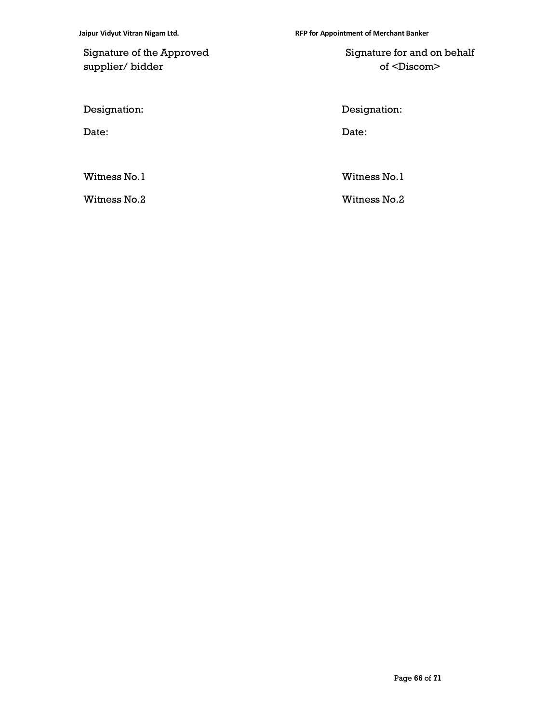Signature of the Approved supplier/ bidder

 Signature for and on behalf of <Discom>

Designation: Designation:

Date: Date:

Witness No.1 Witness No.1

Witness No.2 Witness No.2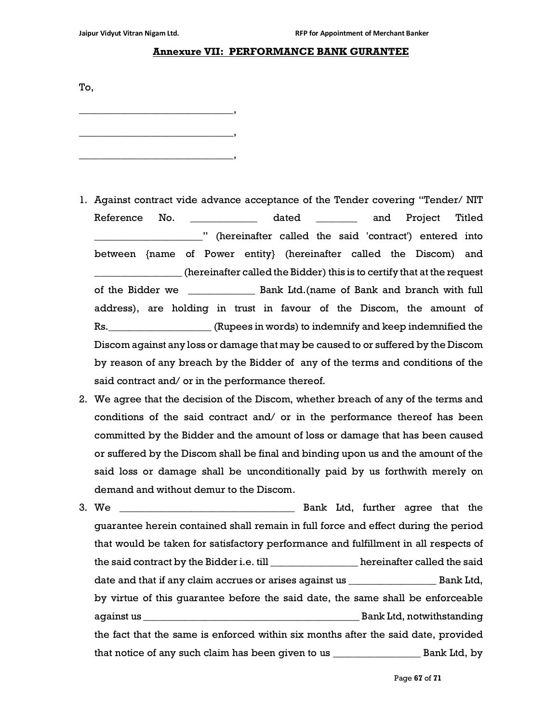#### Annexure VII: PERFORMANCE BANK GURANTEE

To, \_\_\_\_\_\_\_\_\_\_\_\_\_\_\_\_\_\_\_\_\_\_\_\_\_\_\_\_\_\_, \_\_\_\_\_\_\_\_\_\_\_\_\_\_\_\_\_\_\_\_\_\_\_\_\_\_\_\_\_\_,

\_\_\_\_\_\_\_\_\_\_\_\_\_\_\_\_\_\_\_\_\_\_\_\_\_\_\_\_\_\_,

- 1. Against contract vide advance acceptance of the Tender covering "Tender/ NIT Reference No. \_\_\_\_\_\_\_\_\_\_\_\_\_ dated \_\_\_\_\_\_\_\_ and Project Titled \_\_\_\_\_\_\_\_\_\_\_\_\_\_\_\_\_\_\_\_\_" (hereinafter called the said 'contract') entered into between {name of Power entity} (hereinafter called the Discom) and \_\_\_\_\_\_\_\_\_\_\_\_\_\_\_\_\_ (hereinafter called the Bidder) this is to certify that at the request of the Bidder we \_\_\_\_\_\_\_\_\_\_\_\_\_ Bank Ltd.(name of Bank and branch with full address), are holding in trust in favour of the Discom, the amount of Rs.\_\_\_\_\_\_\_\_\_\_\_\_\_\_\_\_\_\_\_\_ (Rupees in words) to indemnify and keep indemnified the Discom against any loss or damage that may be caused to or suffered by the Discom by reason of any breach by the Bidder of any of the terms and conditions of the said contract and/ or in the performance thereof.
- 2. We agree that the decision of the Discom, whether breach of any of the terms and conditions of the said contract and/ or in the performance thereof has been committed by the Bidder and the amount of loss or damage that has been caused or suffered by the Discom shall be final and binding upon us and the amount of the said loss or damage shall be unconditionally paid by us forthwith merely on demand and without demur to the Discom.
- 3. We \_\_\_\_\_\_\_\_\_\_\_\_\_\_\_\_\_\_\_\_\_\_\_\_\_\_\_\_\_\_\_\_\_\_ Bank Ltd, further agree that the guarantee herein contained shall remain in full force and effect during the period that would be taken for satisfactory performance and fulfillment in all respects of the said contract by the Bidder i.e. till \_\_\_\_\_\_\_\_\_\_\_\_\_\_\_\_\_ hereinafter called the said date and that if any claim accrues or arises against us \_\_\_\_\_\_\_\_\_\_\_\_\_\_\_\_\_ Bank Ltd, by virtue of this guarantee before the said date, the same shall be enforceable against us \_\_\_\_\_\_\_\_\_\_\_\_\_\_\_\_\_\_\_\_\_\_\_\_\_\_\_\_\_\_\_\_\_\_\_\_\_\_\_\_\_\_ Bank Ltd, notwithstanding the fact that the same is enforced within six months after the said date, provided that notice of any such claim has been given to us \_\_\_\_\_\_\_\_\_\_\_\_\_\_\_\_\_ Bank Ltd, by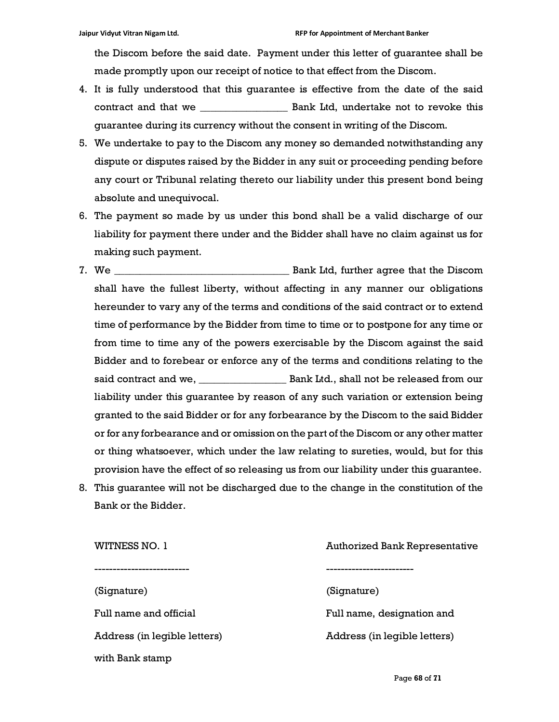the Discom before the said date. Payment under this letter of guarantee shall be made promptly upon our receipt of notice to that effect from the Discom.

- 4. It is fully understood that this guarantee is effective from the date of the said contract and that we \_\_\_\_\_\_\_\_\_\_\_\_\_\_\_\_\_ Bank Ltd, undertake not to revoke this guarantee during its currency without the consent in writing of the Discom.
- 5. We undertake to pay to the Discom any money so demanded notwithstanding any dispute or disputes raised by the Bidder in any suit or proceeding pending before any court or Tribunal relating thereto our liability under this present bond being absolute and unequivocal.
- 6. The payment so made by us under this bond shall be a valid discharge of our liability for payment there under and the Bidder shall have no claim against us for making such payment.
- 7. We \_\_\_\_\_\_\_\_\_\_\_\_\_\_\_\_\_\_\_\_\_\_\_\_\_\_\_\_\_\_\_\_\_\_ Bank Ltd, further agree that the Discom shall have the fullest liberty, without affecting in any manner our obligations hereunder to vary any of the terms and conditions of the said contract or to extend time of performance by the Bidder from time to time or to postpone for any time or from time to time any of the powers exercisable by the Discom against the said Bidder and to forebear or enforce any of the terms and conditions relating to the said contract and we, \_\_\_\_\_\_\_\_\_\_\_\_\_\_\_\_\_ Bank Ltd., shall not be released from our liability under this guarantee by reason of any such variation or extension being granted to the said Bidder or for any forbearance by the Discom to the said Bidder or for any forbearance and or omission on the part of the Discom or any other matter or thing whatsoever, which under the law relating to sureties, would, but for this provision have the effect of so releasing us from our liability under this guarantee.
- 8. This guarantee will not be discharged due to the change in the constitution of the Bank or the Bidder.

WITNESS NO. 1 **Authorized Bank Representative** -------------------------- ------------------------ (Signature) (Signature) with Bank stamp

Full name and official **Full name**, designation and Address (in legible letters) Address (in legible letters)

Page 68 of 71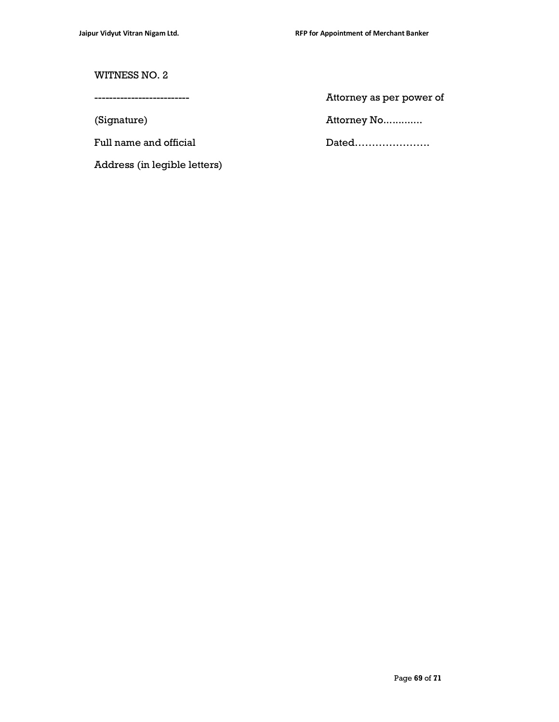#### WITNESS NO. 2

Address (in legible letters)

-------------------------- Attorney as per power of

(Signature) **Attorney No.............** 

Full name and official Dated………………….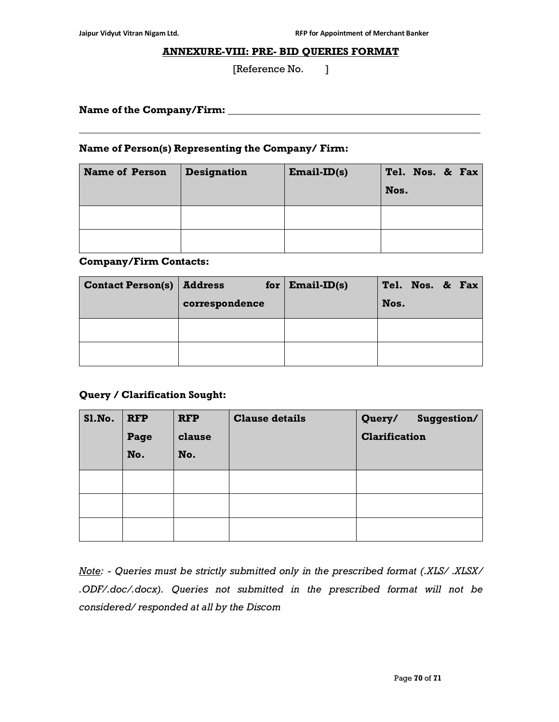$\overline{a}$ 

#### ANNEXURE-VIII: PRE- BID QUERIES FORMAT

[Reference No. ]

Name of the Company/Firm: Name of the Company/Firm:

#### Name of Person(s) Representing the Company/ Firm:

| <b>Name of Person</b> | <b>Designation</b> | $Email-ID(s)$ | Tel. Nos. & Fax<br>Nos. |
|-----------------------|--------------------|---------------|-------------------------|
|                       |                    |               |                         |
|                       |                    |               |                         |

#### Company/Firm Contacts:

| <b>Contact Person(s)</b> | <b>Address</b><br>correspondence | for $ $ Email-ID(s) | Tel. Nos. & Fax<br>Nos. |
|--------------------------|----------------------------------|---------------------|-------------------------|
|                          |                                  |                     |                         |
|                          |                                  |                     |                         |

#### Query / Clarification Sought:

| Sl.No. | <b>RFP</b><br>Page | <b>RFP</b><br>clause | <b>Clause details</b> | Query/<br>Suggestion/<br><b>Clarification</b> |
|--------|--------------------|----------------------|-----------------------|-----------------------------------------------|
|        | No.                | No.                  |                       |                                               |
|        |                    |                      |                       |                                               |
|        |                    |                      |                       |                                               |
|        |                    |                      |                       |                                               |

Note: - Queries must be strictly submitted only in the prescribed format (.XLS/ .XLSX/ .ODF/.doc/.docx). Queries not submitted in the prescribed format will not be considered/ responded at all by the Discom